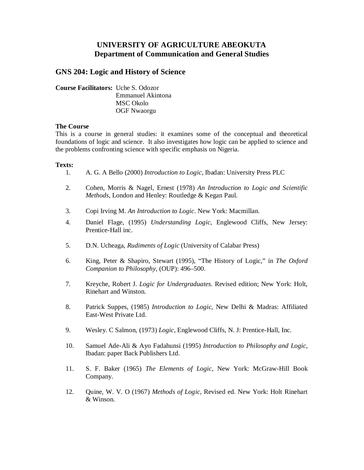# **UNIVERSITY OF AGRICULTURE ABEOKUTA Department of Communication and General Studies**

# **GNS 204: Logic and History of Science**

**Course Facilitators:** Uche S. Odozor Emmanuel Akintona MSC Okolo OGF Nwaorgu

#### **The Course**

This is a course in general studies: it examines some of the conceptual and theoretical foundations of logic and science. It also investigates how logic can be applied to science and the problems confronting science with specific emphasis on Nigeria.

#### **Texts:**

- 1. A. G. A Bello (2000) *Introduction to Logic*, Ibadan: University Press PLC
- 2. Cohen, Morris & Nagel, Ernest (1978) *An Introduction to Logic and Scientific Methods*, London and Henley: Routledge & Kegan Paul.
- 3. Copi Irving M. *An Introduction to Logic*. New York: Macmillan.
- 4. Daniel Flage, (1995) *Understanding Logic*, Englewood Cliffs, New Jersey: Prentice-Hall inc.
- 5. D.N. Ucheaga, *Rudiments of Logic* (University of Calabar Press)
- 6. King, Peter & Shapiro, Stewart (1995), "The History of Logic," in *The Oxford Companion to Philosophy*, (OUP): 496–500.
- 7. Kreyche, Robert J. *Logic for Undergraduates*. Revised edition; New York: Holt, Rinehart and Winston.
- 8. Patrick Suppes, (1985) *Introduction to Logic*, New Delhi & Madras: Affiliated East-West Private Ltd.
- 9. Wesley. C Salmon, (1973) *Logic*, Englewood Cliffs, N. J: Prentice-Hall, Inc.
- 10. Samuel Ade-Ali & Ayo Fadahunsi (1995) *Introduction to Philosophy and Logic*, Ibadan: paper Back Publishers Ltd.
- 11. S. F. Baker (1965) *The Elements of Logic*, New York: McGraw-Hill Book Company.
- 12. Quine, W. V. O (1967) *Methods of Logic*, Revised ed. New York: Holt Rinehart & Winson.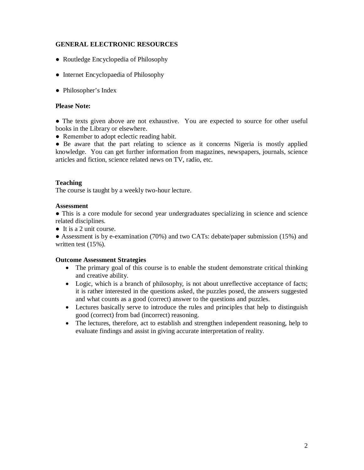# **GENERAL ELECTRONIC RESOURCES**

- Routledge Encyclopedia of Philosophy
- Internet Encyclopaedia of Philosophy
- Philosopher's Index

## **Please Note:**

• The texts given above are not exhaustive. You are expected to source for other useful books in the Library or elsewhere.

• Remember to adopt eclectic reading habit.

● Be aware that the part relating to science as it concerns Nigeria is mostly applied knowledge. You can get further information from magazines, newspapers, journals, science articles and fiction, science related news on TV, radio, etc.

## **Teaching**

The course is taught by a weekly two-hour lecture.

## **Assessment**

● This is a core module for second year undergraduates specializing in science and science related disciplines.

● It is a 2 unit course.

● Assessment is by e-examination (70%) and two CATs: debate/paper submission (15%) and written test (15%).

## **Outcome Assessment Strategies**

- The primary goal of this course is to enable the student demonstrate critical thinking and creative ability.
- Logic, which is a branch of philosophy, is not about unreflective acceptance of facts; it is rather interested in the questions asked, the puzzles posed, the answers suggested and what counts as a good (correct) answer to the questions and puzzles.
- Lectures basically serve to introduce the rules and principles that help to distinguish good (correct) from bad (incorrect) reasoning.
- The lectures, therefore, act to establish and strengthen independent reasoning, help to evaluate findings and assist in giving accurate interpretation of reality.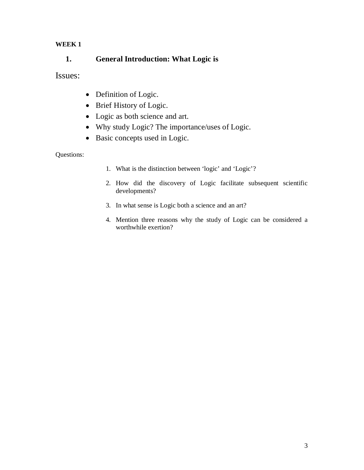# **WEEK 1**

# **1. General Introduction: What Logic is**

Issues:

- Definition of Logic.
- Brief History of Logic.
- Logic as both science and art.
- Why study Logic? The importance/uses of Logic.
- Basic concepts used in Logic.

Questions:

- 1. What is the distinction between 'logic' and 'Logic'?
- 2. How did the discovery of Logic facilitate subsequent scientific developments?
- 3. In what sense is Logic both a science and an art?
- 4. Mention three reasons why the study of Logic can be considered a worthwhile exertion?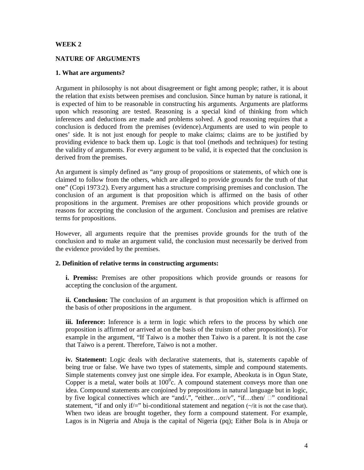## **WEEK 2**

## **NATURE OF ARGUMENTS**

## **1. What are arguments?**

Argument in philosophy is not about disagreement or fight among people; rather, it is about the relation that exists between premises and conclusion. Since human by nature is rational, it is expected of him to be reasonable in constructing his arguments. Arguments are platforms upon which reasoning are tested. Reasoning is a special kind of thinking from which inferences and deductions are made and problems solved. A good reasoning requires that a conclusion is deduced from the premises (evidence).Arguments are used to win people to ones' side. It is not just enough for people to make claims; claims are to be justified by providing evidence to back them up. Logic is that tool (methods and techniques) for testing the validity of arguments. For every argument to be valid, it is expected that the conclusion is derived from the premises.

An argument is simply defined as "any group of propositions or statements, of which one is claimed to follow from the others, which are alleged to provide grounds for the truth of that one" (Copi 1973:2). Every argument has a structure comprising premises and conclusion. The conclusion of an argument is that proposition which is affirmed on the basis of other propositions in the argument. Premises are other propositions which provide grounds or reasons for accepting the conclusion of the argument. Conclusion and premises are relative terms for propositions.

However, all arguments require that the premises provide grounds for the truth of the conclusion and to make an argument valid, the conclusion must necessarily be derived from the evidence provided by the premises.

## **2. Definition of relative terms in constructing arguments:**

**i. Premiss:** Premises are other propositions which provide grounds or reasons for accepting the conclusion of the argument.

**ii. Conclusion:** The conclusion of an argument is that proposition which is affirmed on the basis of other propositions in the argument.

**iii. Inference:** Inference is a term in logic which refers to the process by which one proposition is affirmed or arrived at on the basis of the truism of other proposition(s). For example in the argument, "If Taiwo is a mother then Taiwo is a parent. It is not the case that Taiwo is a perent. Therefore, Taiwo is not a mother.

**iv. Statement:** Logic deals with declarative statements, that is, statements capable of being true or false. We have two types of statements, simple and compound statements. Simple statements convey just one simple idea. For example, Abeokuta is in Ogun State, Copper is a metal, water boils at  $100^{\circ}$ c. A compound statement conveys more than one idea. Compound statements are conjoined by prepositions in natural language but in logic, by five logical connectives which are "and/<sup>2</sup>,", "either...or/v", "if...then/  $\Box$ " conditional statement, "if and only if/≡" bi-conditional statement and negation (~/it is not the case that). When two ideas are brought together, they form a compound statement. For example, Lagos is in Nigeria and Abuja is the capital of Nigeria (pq); Either Bola is in Abuja or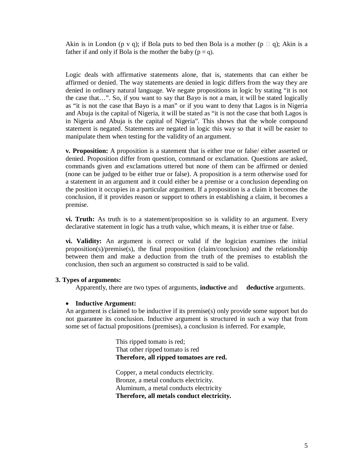Akin is in London (p v q); if Bola puts to bed then Bola is a mother (p  $\Box$  q); Akin is a father if and only if Bola is the mother the baby ( $p \equiv q$ ).

Logic deals with affirmative statements alone, that is, statements that can either be affirmed or denied. The way statements are denied in logic differs from the way they are denied in ordinary natural language. We negate propositions in logic by stating "it is not the case that…". So, if you want to say that Bayo is not a man, it will be stated logically as "it is not the case that Bayo is a man" or if you want to deny that Lagos is in Nigeria and Abuja is the capital of Nigeria, it will be stated as "it is not the case that both Lagos is in Nigeria and Abuja is the capital of Nigeria". This shows that the whole compound statement is negated. Statements are negated in logic this way so that it will be easier to manipulate them when testing for the validity of an argument.

**v. Proposition:** A proposition is a statement that is either true or false/ either asserted or denied. Proposition differ from question, command or exclamation. Questions are asked, commands given and exclamations uttered but none of them can be affirmed or denied (none can be judged to be either true or false). A proposition is a term otherwise used for a statement in an argument and it could either be a premise or a conclusion depending on the position it occupies in a particular argument. If a proposition is a claim it becomes the conclusion, if it provides reason or support to others in establishing a claim, it becomes a premise.

**vi. Truth:** As truth is to a statement/proposition so is validity to an argument. Every declarative statement in logic has a truth value, which means, it is either true or false.

**vi. Validity:** An argument is correct or valid if the logician examines the initial proposition(s)/premise(s), the final proposition (claim/conclusion) and the relationship between them and make a deduction from the truth of the premises to establish the conclusion, then such an argument so constructed is said to be valid.

## **3. Types of arguments:**

Apparently, there are two types of arguments, **inductive** and **deductive** arguments.

#### **Inductive Argument:**

An argument is claimed to be inductive if its premise(s) only provide some support but do not guarantee its conclusion. Inductive argument is structured in such a way that from some set of factual propositions (premises), a conclusion is inferred. For example,

> This ripped tomato is red; That other ripped tomato is red **Therefore, all ripped tomatoes are red.**

Copper, a metal conducts electricity. Bronze, a metal conducts electricity. Aluminum, a metal conducts electricity **Therefore, all metals conduct electricity.**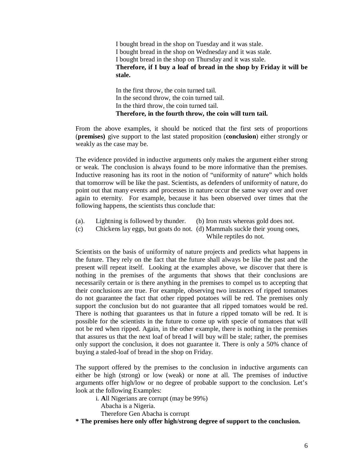I bought bread in the shop on Tuesday and it was stale. I bought bread in the shop on Wednesday and it was stale. I bought bread in the shop on Thursday and it was stale. **Therefore, if I buy a loaf of bread in the shop by Friday it will be stale.**

In the first throw, the coin turned tail. In the second throw, the coin turned tail. In the third throw, the coin turned tail. **Therefore, in the fourth throw, the coin will turn tail.**

From the above examples, it should be noticed that the first sets of proportions (**premises)** give support to the last stated proposition (**conclusion**) either strongly or weakly as the case may be.

The evidence provided in inductive arguments only makes the argument either strong or weak. The conclusion is always found to be more informative than the premises. Inductive reasoning has its root in the notion of "uniformity of nature" which holds that tomorrow will be like the past. Scientists, as defenders of uniformity of nature, do point out that many events and processes in nature occur the same way over and over again to eternity. For example, because it has been observed over times that the following happens, the scientists thus conclude that:

- (a). Lightning is followed by thunder. (b) Iron rusts whereas gold does not.
- (c) Chickens lay eggs, but goats do not. (d) Mammals suckle their young ones, While reptiles do not.

Scientists on the basis of uniformity of nature projects and predicts what happens in the future. They rely on the fact that the future shall always be like the past and the present will repeat itself. Looking at the examples above, we discover that there is nothing in the premises of the arguments that shows that their conclusions are necessarily certain or is there anything in the premises to compel us to accepting that their conclusions are true. For example, observing two instances of ripped tomatoes do not guarantee the fact that other ripped potatoes will be red. The premises only support the conclusion but do not guarantee that all ripped tomatoes would be red. There is nothing that guarantees us that in future a ripped tomato will be red. It is possible for the scientists in the future to come up with specie of tomatoes that will not be red when ripped. Again, in the other example, there is nothing in the premises that assures us that the next loaf of bread I will buy will be stale; rather, the premises only support the conclusion, it does not guarantee it. There is only a 50% chance of buying a staled-loaf of bread in the shop on Friday.

The support offered by the premises to the conclusion in inductive arguments can either be high (strong) or low (weak) or none at all. The premises of inductive arguments offer high/low or no degree of probable support to the conclusion. Let's look at the following Examples:

i. **A**ll Nigerians are corrupt (may be 99%) Abacha is a Nigeria. Therefore Gen Abacha is corrupt

**\* The premises here only offer high/strong degree of support to the conclusion.**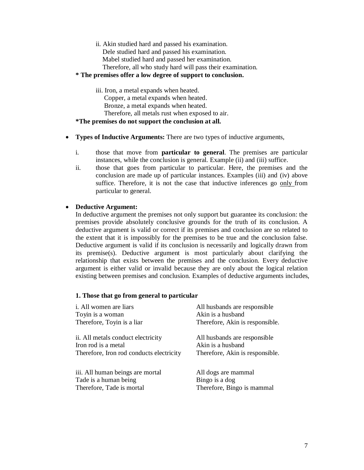ii. Akin studied hard and passed his examination. Dele studied hard and passed his examination. Mabel studied hard and passed her examination. Therefore, all who study hard will pass their examination.

#### **\* The premises offer a low degree of support to conclusion.**

iii. Iron, a metal expands when heated. Copper, a metal expands when heated. Bronze, a metal expands when heated. Therefore, all metals rust when exposed to air. **\*The premises do not support the conclusion at all.**

- **Types of Inductive Arguments:** There are two types of inductive arguments,
	- i. those that move from **particular to general**. The premises are particular instances, while the conclusion is general. Example (ii) and (iii) suffice.
	- ii. those that goes from particular to particular. Here, the premises and the conclusion are made up of particular instances. Examples (iii) and (iv) above suffice. Therefore, it is not the case that inductive inferences go only from particular to general.

## **Deductive Argument:**

In deductive argument the premises not only support but guarantee its conclusion: the premises provide absolutely conclusive grounds for the truth of its conclusion. A deductive argument is valid or correct if its premises and conclusion are so related to the extent that it is impossibly for the premises to be true and the conclusion false. Deductive argument is valid if its conclusion is necessarily and logically drawn from its premise(s). Deductive argument is most particularly about clarifying the relationship that exists between the premises and the conclusion. Every deductive argument is either valid or invalid because they are only about the logical relation existing between premises and conclusion. Examples of deductive arguments includes,

#### **1. Those that go from general to particular**

| i. All women are liars<br>Toyin is a woman                                                            | All husbands are responsible<br>Akin is a husband                                    |
|-------------------------------------------------------------------------------------------------------|--------------------------------------------------------------------------------------|
| Therefore, Toyin is a liar                                                                            | Therefore, Akin is responsible.                                                      |
| ii. All metals conduct electricity<br>Iron rod is a metal<br>Therefore, Iron rod conducts electricity | All husbands are responsible<br>Akin is a husband<br>Therefore, Akin is responsible. |
|                                                                                                       |                                                                                      |
| iii. All human beings are mortal                                                                      | All dogs are mammal                                                                  |
| Tade is a human being                                                                                 | Bingo is a dog                                                                       |
| Therefore, Tade is mortal                                                                             | Therefore, Bingo is mammal                                                           |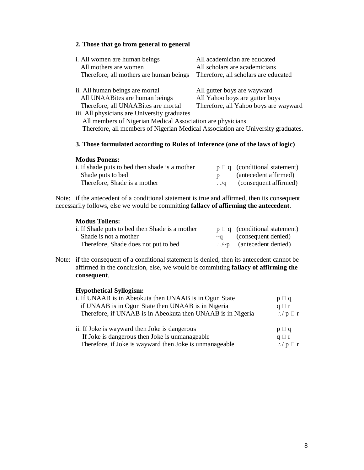## **2. Those that go from general to general**

| i. All women are human beings                | All academician are educated          |
|----------------------------------------------|---------------------------------------|
| All mothers are women                        | All scholars are academicians         |
| Therefore, all mothers are human beings      | Therefore, all scholars are educated  |
|                                              |                                       |
| ii. All human beings are mortal              | All gutter boys are wayward           |
| All UNAABites are human beings               | All Yahoo boys are gutter boys        |
| Therefore, all UNAABites are mortal          | Therefore, all Yahoo boys are wayward |
| iii. All physicians are University graduates |                                       |

 All members of Nigerian Medical Association are physicians Therefore, all members of Nigerian Medical Association are University graduates.

#### **3. Those formulated according to Rules of Inference (one of the laws of logic)**

#### **Modus Ponens:**

| i. If shade puts to bed then shade is a mother | $p \Box q$ (conditional statement)    |
|------------------------------------------------|---------------------------------------|
| Shade puts to bed                              | (antecedent affirmed)                 |
| Therefore, Shade is a mother                   | $\therefore$ /q (consequent affirmed) |

Note: if the antecedent of a conditional statement is true and affirmed, then its consequent necessarily follows, else we would be committing **fallacy of affirming the antecedent**.

#### **Modus Tollens:**

| i. If Shade puts to bed then Shade is a mother | $p \Box q$ (conditional statement)   |
|------------------------------------------------|--------------------------------------|
| Shade is not a mother                          | $\sim q$ (consequent denied)         |
| Therefore, Shade does not put to bed           | $\therefore$ /~p (antecedent denied) |

Note: if the consequent of a conditional statement is denied, then its antecedent cannot be affirmed in the conclusion, else, we would be committing **fallacy of affirming the consequent**.

## **Hypothetical Syllogism:**

| i. If UNAAB is in Abeokuta then UNAAB is in Ogun State      | $p \Box q$               |
|-------------------------------------------------------------|--------------------------|
| if UNAAB is in Ogun State then UNAAB is in Nigeria          | $q \square r$            |
| Therefore, if UNAAB is in Abeokuta then UNAAB is in Nigeria | $\therefore$ /p $\Box$ r |
|                                                             |                          |
| ii. If Joke is wayward then Joke is dangerous               | $p \Box q$               |
| If Joke is dangerous then Joke is unmanageable              | $q \Box r$               |
| Therefore, if Joke is wayward then Joke is unmanageable     | $\therefore$ /p $\Box$ r |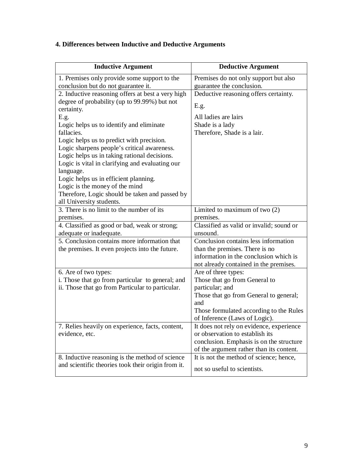# **4. Differences between Inductive and Deductive Arguments**

| <b>Inductive Argument</b>                                                                                                                | <b>Deductive Argument</b>                                                                                                                                           |
|------------------------------------------------------------------------------------------------------------------------------------------|---------------------------------------------------------------------------------------------------------------------------------------------------------------------|
| 1. Premises only provide some support to the<br>conclusion but do not guarantee it.                                                      | Premises do not only support but also<br>guarantee the conclusion.                                                                                                  |
| 2. Inductive reasoning offers at best a very high<br>degree of probability (up to 99.99%) but not                                        | Deductive reasoning offers certainty.<br>E.g.                                                                                                                       |
| certainty.<br>E.g.                                                                                                                       | All ladies are lairs                                                                                                                                                |
| Logic helps us to identify and eliminate<br>fallacies.                                                                                   | Shade is a lady<br>Therefore, Shade is a lair.                                                                                                                      |
| Logic helps us to predict with precision.<br>Logic sharpens people's critical awareness.<br>Logic helps us in taking rational decisions. |                                                                                                                                                                     |
| Logic is vital in clarifying and evaluating our<br>language.<br>Logic helps us in efficient planning.                                    |                                                                                                                                                                     |
| Logic is the money of the mind<br>Therefore, Logic should be taken and passed by<br>all University students.                             |                                                                                                                                                                     |
| 3. There is no limit to the number of its<br>premises.                                                                                   | Limited to maximum of two $(2)$<br>premises.                                                                                                                        |
| 4. Classified as good or bad, weak or strong;<br>adequate or inadequate.                                                                 | Classified as valid or invalid; sound or<br>unsound.                                                                                                                |
| 5. Conclusion contains more information that<br>the premises. It even projects into the future.                                          | Conclusion contains less information<br>than the premises. There is no<br>information in the conclusion which is<br>not already contained in the premises.          |
| 6. Are of two types:<br>i. Those that go from particular to general; and                                                                 | Are of three types:<br>Those that go from General to                                                                                                                |
| ii. Those that go from Particular to particular.                                                                                         | particular; and                                                                                                                                                     |
|                                                                                                                                          | Those that go from General to general;<br>and                                                                                                                       |
|                                                                                                                                          | Those formulated according to the Rules<br>of Inference (Laws of Logic).                                                                                            |
| 7. Relies heavily on experience, facts, content,<br>evidence, etc.                                                                       | It does not rely on evidence, experience<br>or observation to establish its<br>conclusion. Emphasis is on the structure<br>of the argument rather than its content. |
| 8. Inductive reasoning is the method of science                                                                                          | It is not the method of science; hence,                                                                                                                             |
| and scientific theories took their origin from it.                                                                                       | not so useful to scientists.                                                                                                                                        |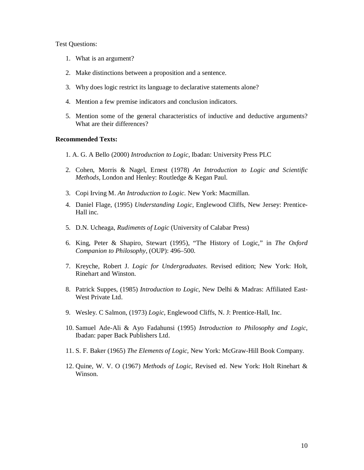Test Questions:

- 1. What is an argument?
- 2. Make distinctions between a proposition and a sentence.
- 3. Why does logic restrict its language to declarative statements alone?
- 4. Mention a few premise indicators and conclusion indicators.
- 5. Mention some of the general characteristics of inductive and deductive arguments? What are their differences?

#### **Recommended Texts:**

- 1. A. G. A Bello (2000) *Introduction to Logic*, Ibadan: University Press PLC
- 2. Cohen, Morris & Nagel, Ernest (1978) *An Introduction to Logic and Scientific Methods*, London and Henley: Routledge & Kegan Paul.
- 3. Copi Irving M. *An Introduction to Logic*. New York: Macmillan.
- 4. Daniel Flage, (1995) *Understanding Logic*, Englewood Cliffs, New Jersey: Prentice-Hall inc.
- 5. D.N. Ucheaga, *Rudiments of Logic* (University of Calabar Press)
- 6. King, Peter & Shapiro, Stewart (1995), "The History of Logic," in *The Oxford Companion to Philosophy*, (OUP): 496–500.
- 7. Kreyche, Robert J. *Logic for Undergraduates*. Revised edition; New York: Holt, Rinehart and Winston.
- 8. Patrick Suppes, (1985) *Introduction to Logic*, New Delhi & Madras: Affiliated East-West Private Ltd.
- 9. Wesley. C Salmon, (1973) *Logic*, Englewood Cliffs, N. J: Prentice-Hall, Inc.
- 10. Samuel Ade-Ali & Ayo Fadahunsi (1995) *Introduction to Philosophy and Logic*, Ibadan: paper Back Publishers Ltd.
- 11. S. F. Baker (1965) *The Elements of Logic*, New York: McGraw-Hill Book Company.
- 12. Quine, W. V. O (1967) *Methods of Logic*, Revised ed. New York: Holt Rinehart & Winson.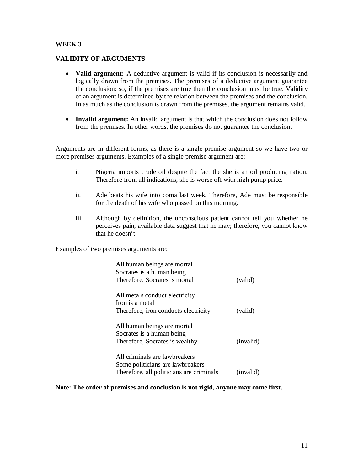## **WEEK 3**

## **VALIDITY OF ARGUMENTS**

- **Valid argument:** A deductive argument is valid if its conclusion is necessarily and logically drawn from the premises. The premises of a deductive argument guarantee the conclusion: so, if the premises are true then the conclusion must be true. Validity of an argument is determined by the relation between the premises and the conclusion. In as much as the conclusion is drawn from the premises, the argument remains valid.
- **Invalid argument:** An invalid argument is that which the conclusion does not follow from the premises. In other words, the premises do not guarantee the conclusion.

Arguments are in different forms, as there is a single premise argument so we have two or more premises arguments. Examples of a single premise argument are:

- i. Nigeria imports crude oil despite the fact the she is an oil producing nation. Therefore from all indications, she is worse off with high pump price.
- ii. Ade beats his wife into coma last week. Therefore, Ade must be responsible for the death of his wife who passed on this morning.
- iii. Although by definition, the unconscious patient cannot tell you whether he perceives pain, available data suggest that he may; therefore, you cannot know that he doesn't

Examples of two premises arguments are:

| All human beings are mortal<br>Socrates is a human being<br>Therefore, Socrates is mortal | (valid)   |
|-------------------------------------------------------------------------------------------|-----------|
| All metals conduct electricity<br>Iron is a metal                                         |           |
| Therefore, iron conducts electricity                                                      | (valid)   |
| All human beings are mortal<br>Socrates is a human being                                  |           |
| Therefore, Socrates is wealthy                                                            | (invalid) |
| All criminals are lawbreakers                                                             |           |
| Some politicians are lawbreakers                                                          |           |
| Therefore, all politicians are criminals                                                  | (invalid) |

#### **Note: The order of premises and conclusion is not rigid, anyone may come first.**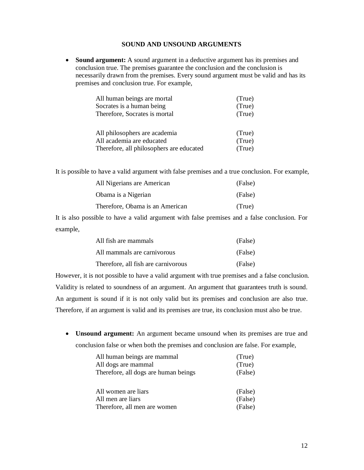#### **SOUND AND UNSOUND ARGUMENTS**

 **Sound argument:** A sound argument in a deductive argument has its premises and conclusion true. The premises guarantee the conclusion and the conclusion is necessarily drawn from the premises. Every sound argument must be valid and has its premises and conclusion true. For example,

| All human beings are mortal              | (True) |
|------------------------------------------|--------|
| Socrates is a human being                | (True) |
| Therefore, Socrates is mortal            | (True) |
|                                          |        |
| All philosophers are academia            | (True) |
| All academia are educated                | (True) |
| Therefore, all philosophers are educated | (True) |

It is possible to have a valid argument with false premises and a true conclusion. For example,

| All Nigerians are American      | (False) |
|---------------------------------|---------|
| Obama is a Nigerian             | (False) |
| Therefore, Obama is an American | (True)  |

It is also possible to have a valid argument with false premises and a false conclusion. For example,

| All fish are mammals                | (False) |
|-------------------------------------|---------|
| All mammals are carnivorous         | (False) |
| Therefore, all fish are carnivorous | (False) |

However, it is not possible to have a valid argument with true premises and a false conclusion. Validity is related to soundness of an argument. An argument that guarantees truth is sound. An argument is sound if it is not only valid but its premises and conclusion are also true. Therefore, if an argument is valid and its premises are true, its conclusion must also be true.

 **Unsound argument:** An argument became unsound when its premises are true and conclusion false or when both the premises and conclusion are false. For example,

| All human beings are mammal          | (True)  |
|--------------------------------------|---------|
| All dogs are mammal                  | (True)  |
| Therefore, all dogs are human beings | (False) |
|                                      |         |
| All women are liars                  | (False) |
| All men are liars                    | (False) |
| Therefore, all men are women         | (False) |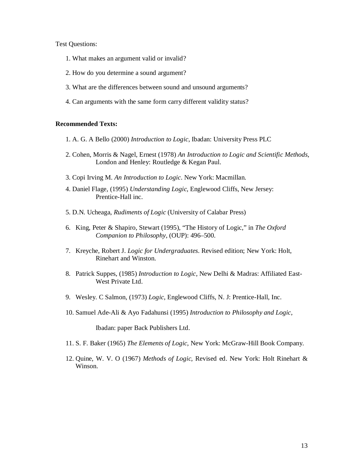Test Questions:

- 1. What makes an argument valid or invalid?
- 2. How do you determine a sound argument?
- 3. What are the differences between sound and unsound arguments?
- 4. Can arguments with the same form carry different validity status?

#### **Recommended Texts:**

- 1. A. G. A Bello (2000) *Introduction to Logic*, Ibadan: University Press PLC
- 2. Cohen, Morris & Nagel, Ernest (1978) *An Introduction to Logic and Scientific Methods*, London and Henley: Routledge & Kegan Paul.
- 3. Copi Irving M. *An Introduction to Logic*. New York: Macmillan.
- 4. Daniel Flage, (1995) *Understanding Logic*, Englewood Cliffs, New Jersey: Prentice-Hall inc.
- 5. D.N. Ucheaga, *Rudiments of Logic* (University of Calabar Press)
- 6. King, Peter & Shapiro, Stewart (1995), "The History of Logic," in *The Oxford Companion to Philosophy*, (OUP): 496–500.
- 7. Kreyche, Robert J. *Logic for Undergraduates*. Revised edition; New York: Holt, Rinehart and Winston.
- 8. Patrick Suppes, (1985) *Introduction to Logic*, New Delhi & Madras: Affiliated East-West Private Ltd.
- 9. Wesley. C Salmon, (1973) *Logic*, Englewood Cliffs, N. J: Prentice-Hall, Inc.
- 10. Samuel Ade-Ali & Ayo Fadahunsi (1995) *Introduction to Philosophy and Logic*,

Ibadan: paper Back Publishers Ltd.

- 11. S. F. Baker (1965) *The Elements of Logic*, New York: McGraw-Hill Book Company.
- 12. Quine, W. V. O (1967) *Methods of Logic*, Revised ed. New York: Holt Rinehart & Winson.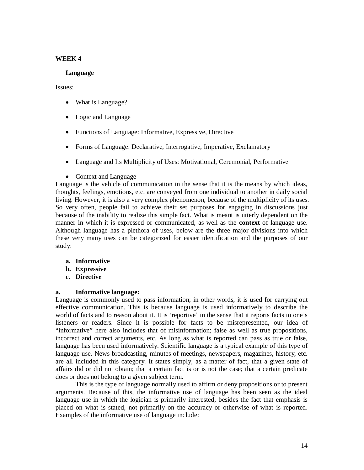# **WEEK 4**

## **Language**

#### Issues:

- What is Language?
- Logic and Language
- Functions of Language: Informative, Expressive, Directive
- Forms of Language: Declarative, Interrogative, Imperative, Exclamatory
- Language and Its Multiplicity of Uses: Motivational, Ceremonial, Performative
- Context and Language

Language is the vehicle of communication in the sense that it is the means by which ideas, thoughts, feelings, emotions, etc. are conveyed from one individual to another in daily social living. However, it is also a very complex phenomenon, because of the multiplicity of its uses. So very often, people fail to achieve their set purposes for engaging in discussions just because of the inability to realize this simple fact. What is meant is utterly dependent on the manner in which it is expressed or communicated, as well as the **context** of language use. Although language has a plethora of uses, below are the three major divisions into which these very many uses can be categorized for easier identification and the purposes of our study:

- **a. Informative**
- **b. Expressive**
- **c. Directive**

## **a. Informative language:**

Language is commonly used to pass information; in other words, it is used for carrying out effective communication. This is because language is used informatively to describe the world of facts and to reason about it. It is 'reportive' in the sense that it reports facts to one's listeners or readers. Since it is possible for facts to be misrepresented, our idea of "informative" here also includes that of misinformation; false as well as true propositions, incorrect and correct arguments, etc. As long as what is reported can pass as true or false, language has been used informatively. Scientific language is a typical example of this type of language use. News broadcasting, minutes of meetings, newspapers, magazines, history, etc. are all included in this category. It states simply, as a matter of fact, that a given state of affairs did or did not obtain; that a certain fact is or is not the case; that a certain predicate does or does not belong to a given subject term.

This is the type of language normally used to affirm or deny propositions or to present arguments. Because of this, the informative use of language has been seen as the ideal language use in which the logician is primarily interested, besides the fact that emphasis is placed on what is stated, not primarily on the accuracy or otherwise of what is reported. Examples of the informative use of language include: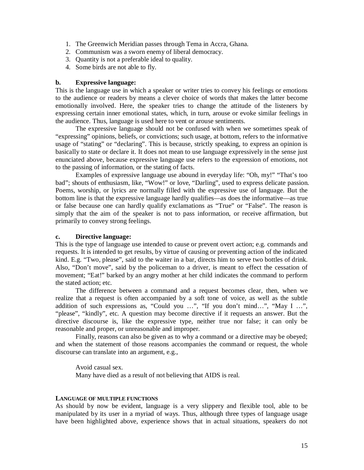- 1. The Greenwich Meridian passes through Tema in Accra, Ghana.
- 2. Communism was a sworn enemy of liberal democracy.
- 3. Quantity is not a preferable ideal to quality.
- 4. Some birds are not able to fly.

#### **b. Expressive language:**

This is the language use in which a speaker or writer tries to convey his feelings or emotions to the audience or readers by means a clever choice of words that makes the latter become emotionally involved. Here, the speaker tries to change the attitude of the listeners by expressing certain inner emotional states, which, in turn, arouse or evoke similar feelings in the audience. Thus, language is used here to vent or arouse sentiments.

The expressive language should not be confused with when we sometimes speak of "expressing" opinions, beliefs, or convictions; such usage, at bottom, refers to the informative usage of "stating" or "declaring". This is because, strictly speaking, to express an opinion is basically to state or declare it. It does not mean to use language expressively in the sense just enunciated above, because expressive language use refers to the expression of emotions, not to the passing of information, or the stating of facts.

Examples of expressive language use abound in everyday life: "Oh, my!" "That's too bad"; shouts of enthusiasm, like, "Wow!" or love, "Darling", used to express delicate passion. Poems, worship, or lyrics are normally filled with the expressive use of language. But the bottom line is that the expressive language hardly qualifies—as does the informative—as true or false because one can hardly qualify exclamations as "True" or "False". The reason is simply that the aim of the speaker is not to pass information, or receive affirmation, but primarily to convey strong feelings.

#### **c. Directive language:**

This is the type of language use intended to cause or prevent overt action; e.g. commands and requests. It is intended to get results, by virtue of causing or preventing action of the indicated kind. E.g. "Two, please", said to the waiter in a bar, directs him to serve two bottles of drink. Also, "Don't move", said by the policeman to a driver, is meant to effect the cessation of movement; "Eat!" barked by an angry mother at her child indicates the command to perform the stated action; etc.

The difference between a command and a request becomes clear, then, when we realize that a request is often accompanied by a soft tone of voice, as well as the subtle addition of such expressions as, "Could you …", "If you don't mind…", "May I …", "please", "kindly", etc. A question may become directive if it requests an answer. But the directive discourse is, like the expressive type, neither true nor false; it can only be reasonable and proper, or unreasonable and improper.

Finally, reasons can also be given as to why a command or a directive may be obeyed; and when the statement of those reasons accompanies the command or request, the whole discourse can translate into an argument, e.g.,

Avoid casual sex. Many have died as a result of not believing that AIDS is real.

#### **LANGUAGE OF MULTIPLE FUNCTIONS**

As should by now be evident, language is a very slippery and flexible tool, able to be manipulated by its user in a myriad of ways. Thus, although three types of language usage have been highlighted above, experience shows that in actual situations, speakers do not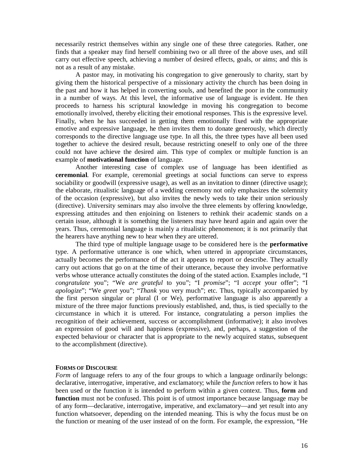necessarily restrict themselves within any single one of these three categories. Rather, one finds that a speaker may find herself combining two or all three of the above uses, and still carry out effective speech, achieving a number of desired effects, goals, or aims; and this is not as a result of any mistake.

A pastor may, in motivating his congregation to give generously to charity, start by giving them the historical perspective of a missionary activity the church has been doing in the past and how it has helped in converting souls, and benefited the poor in the community in a number of ways. At this level, the informative use of language is evident. He then proceeds to harness his scriptural knowledge in moving his congregation to become emotionally involved, thereby eliciting their emotional responses. This is the expressive level. Finally, when he has succeeded in getting them emotionally fixed with the appropriate emotive and expressive language, he then invites them to donate generously, which directly corresponds to the directive language use type. In all this, the three types have all been used together to achieve the desired result, because restricting oneself to only one of the three could not have achieve the desired aim. This type of complex or multiple function is an example of **motivational function** of language.

Another interesting case of complex use of language has been identified as **ceremonial**. For example, ceremonial greetings at social functions can serve to express sociability or goodwill (expressive usage), as well as an invitation to dinner (directive usage); the elaborate, ritualistic language of a wedding ceremony not only emphasizes the solemnity of the occasion (expressive), but also invites the newly weds to take their union seriously (directive). University seminars may also involve the three elements by offering knowledge, expressing attitudes and then enjoining on listeners to rethink their academic stands on a certain issue, although it is something the listeners may have heard again and again over the years. Thus, ceremonial language is mainly a ritualistic phenomenon; it is not primarily that the hearers have anything new to hear when they are uttered.

The third type of multiple language usage to be considered here is the **performative**  type. A performative utterance is one which, when uttered in appropriate circumstances, actually becomes the performance of the act it appears to report or describe. They actually carry out actions that go on at the time of their utterance, because they involve performative verbs whose utterance actually constitutes the doing of the stated action. Examples include, "I *congratulate* you"; "We *are grateful* to you"; "I *promise*"; "I *accept* your offer"; "I *apologize*"; "We *greet* you"; "*Thank* you very much"; etc. Thus, typically accompanied by the first person singular or plural (I or We), performative language is also apparently a mixture of the three major functions previously established, and, thus, is tied specially to the circumstance in which it is uttered. For instance, congratulating a person implies the recognition of their achievement, success or accomplishment (informative); it also involves an expression of good will and happiness (expressive), and, perhaps, a suggestion of the expected behaviour or character that is appropriate to the newly acquired status, subsequent to the accomplishment (directive).

#### **FORMS OF DISCOURSE**

*Form* of language refers to any of the four groups to which a language ordinarily belongs: declarative, interrogative, imperative, and exclamatory; while the *function* refers to how it has been used or the function it is intended to perform within a given context. Thus, **form** and **function** must not be confused. This point is of utmost importance because language may be of any form—declarative, interrogative, imperative, and exclamatory—and yet result into any function whatsoever, depending on the intended meaning. This is why the focus must be on the function or meaning of the user instead of on the form. For example, the expression, "He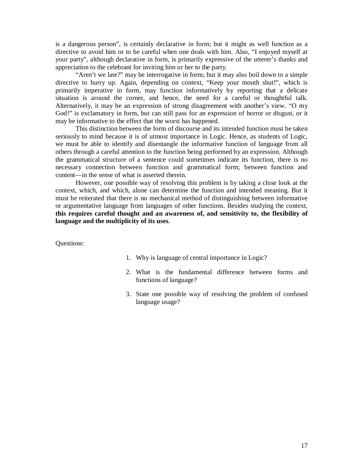is a dangerous person", is certainly declarative in form; but it might as well function as a directive to avoid him or to be careful when one deals with him. Also, "I enjoyed myself at your party", although declarative in form, is primarily expressive of the utterer's thanks and appreciation to the celebrant for inviting him or her to the party.

"Aren't we late?" may be interrogative in form; but it may also boil down to a simple directive to hurry up. Again, depending on context, "Keep your mouth shut!", which is primarily imperative in form, may function informatively by reporting that a delicate situation is around the corner, and hence, the need for a careful or thoughtful talk. Alternatively, it may be an expression of strong disagreement with another's view. "O my God!" is exclamatory in form, but can still pass for an expression of horror or disgust, or it may be informative to the effect that the worst has happened.

This distinction between the form of discourse and its intended function must be taken seriously to mind because it is of utmost importance in Logic. Hence, as students of Logic, we must be able to identify and disentangle the informative function of language from all others through a careful attention to the function being performed by an expression. Although the grammatical structure of a sentence could sometimes indicate its function, there is no necessary connection between function and grammatical form; between function and content—in the sense of what is asserted therein.

However, one possible way of resolving this problem is by taking a close look at the context, which, and which, alone can determine the function and intended meaning. But it must be reiterated that there is no mechanical method of distinguishing between informative or argumentative language from languages of other functions. Besides studying the context, **this requires careful thought and an awareness of, and sensitivity to, the flexibility of language and the multiplicity of its uses**.

Questions:

- 1. Why is language of central importance in Logic?
- 2. What is the fundamental difference between forms and functions of language?
- 3. State one possible way of resolving the problem of confused language usage?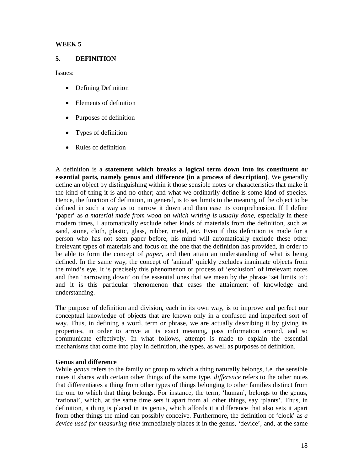## **WEEK 5**

## **5. DEFINITION**

Issues:

- Defining Definition
- Elements of definition
- Purposes of definition
- Types of definition
- Rules of definition

A definition is a **statement which breaks a logical term down into its constituent or essential parts, namely genus and difference (in a process of description)**. We generally define an object by distinguishing within it those sensible notes or characteristics that make it the kind of thing it is and no other; and what we ordinarily define is some kind of species. Hence, the function of definition, in general, is to set limits to the meaning of the object to be defined in such a way as to narrow it down and then ease its comprehension. If I define 'paper' as *a material made from wood on which writing is usually done*, especially in these modern times, I automatically exclude other kinds of materials from the definition, such as sand, stone, cloth, plastic, glass, rubber, metal, etc. Even if this definition is made for a person who has not seen paper before, his mind will automatically exclude these other irrelevant types of materials and focus on the one that the definition has provided, in order to be able to form the concept of *paper*, and then attain an understanding of what is being defined. In the same way, the concept of 'animal' quickly excludes inanimate objects from the mind's eye. It is precisely this phenomenon or process of 'exclusion' of irrelevant notes and then 'narrowing down' on the essential ones that we mean by the phrase 'set limits to'; and it is this particular phenomenon that eases the attainment of knowledge and understanding.

The purpose of definition and division, each in its own way, is to improve and perfect our conceptual knowledge of objects that are known only in a confused and imperfect sort of way. Thus, in defining a word, term or phrase, we are actually describing it by giving its properties, in order to arrive at its exact meaning, pass information around, and so communicate effectively. In what follows, attempt is made to explain the essential mechanisms that come into play in definition, the types, as well as purposes of definition.

## **Genus and difference**

While *genus* refers to the family or group to which a thing naturally belongs, i.e. the sensible notes it shares with certain other things of the same type, *difference* refers to the other notes that differentiates a thing from other types of things belonging to other families distinct from the one to which that thing belongs. For instance, the term, 'human', belongs to the genus, 'rational', which, at the same time sets it apart from all other things, say 'plants'. Thus, in definition, a thing is placed in its genus, which affords it a difference that also sets it apart from other things the mind can possibly conceive. Furthermore, the definition of 'clock' as *a device used for measuring time* immediately places it in the genus, 'device', and, at the same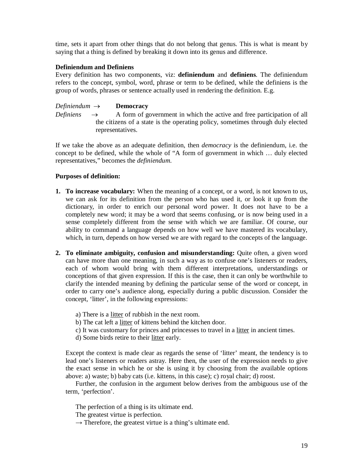time, sets it apart from other things that do not belong that genus. This is what is meant by saying that a thing is defined by breaking it down into its genus and difference.

## **Definiendum and Definiens**

Every definition has two components, viz: **definiendum** and **definiens**. The definiendum refers to the concept, symbol, word, phrase or term to be defined, while the definiens is the group of words, phrases or sentence actually used in rendering the definition. E.g.

## $Definition_{\text{dum}} \rightarrow \text{Denocracy}$

*Definiens*  $\rightarrow$  A form of government in which the active and free participation of all the citizens of a state is the operating policy, sometimes through duly elected representatives.

If we take the above as an adequate definition, then *democracy* is the definiendum, i.e. the concept to be defined, while the whole of "A form of government in which … duly elected representatives," becomes the *definiendum.*

## **Purposes of definition:**

- **1. To increase vocabulary:** When the meaning of a concept, or a word, is not known to us, we can ask for its definition from the person who has used it, or look it up from the dictionary, in order to enrich our personal word power. It does not have to be a completely new word; it may be a word that seems confusing, or is now being used in a sense completely different from the sense with which we are familiar. Of course, our ability to command a language depends on how well we have mastered its vocabulary, which, in turn, depends on how versed we are with regard to the concepts of the language.
- **2. To eliminate ambiguity, confusion and misunderstanding:** Quite often, a given word can have more than one meaning, in such a way as to confuse one's listeners or readers, each of whom would bring with them different interpretations, understandings or conceptions of that given expression. If this is the case, then it can only be worthwhile to clarify the intended meaning by defining the particular sense of the word or concept, in order to carry one's audience along, especially during a public discussion. Consider the concept, 'litter', in the following expressions:
	- a) There is a litter of rubbish in the next room.
	- b) The cat left a litter of kittens behind the kitchen door.
	- c) It was customary for princes and princesses to travel in a litter in ancient times.
	- d) Some birds retire to their litter early.

Except the context is made clear as regards the sense of 'litter' meant, the tendency is to lead one's listeners or readers astray. Here then, the user of the expression needs to give the exact sense in which he or she is using it by choosing from the available options above: a) waste; b) baby cats (i.e. kittens, in this case); c) royal chair; d) roost.

Further, the confusion in the argument below derives from the ambiguous use of the term, 'perfection'.

The perfection of a thing is its ultimate end.

The greatest virtue is perfection.

 $\rightarrow$  Therefore, the greatest virtue is a thing's ultimate end.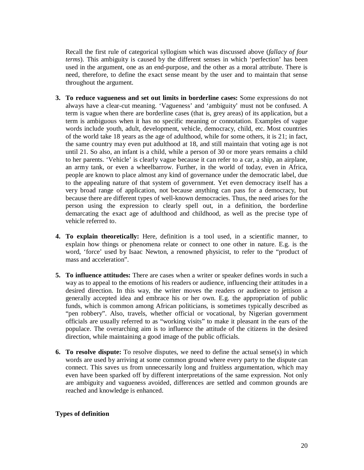Recall the first rule of categorical syllogism which was discussed above (*fallacy of four terms*). This ambiguity is caused by the different senses in which 'perfection' has been used in the argument, one as an end-purpose, and the other as a moral attribute. There is need, therefore, to define the exact sense meant by the user and to maintain that sense throughout the argument.

- **3. To reduce vagueness and set out limits in borderline cases:** Some expressions do not always have a clear-cut meaning. 'Vagueness' and 'ambiguity' must not be confused. A term is vague when there are borderline cases (that is, grey areas) of its application, but a term is ambiguous when it has no specific meaning or connotation. Examples of vague words include youth, adult, development, vehicle, democracy, child, etc. Most countries of the world take 18 years as the age of adulthood, while for some others, it is 21; in fact, the same country may even put adulthood at 18, and still maintain that voting age is not until 21. So also, an infant is a child, while a person of 30 or more years remains a child to her parents. 'Vehicle' is clearly vague because it can refer to a car, a ship, an airplane, an army tank, or even a wheelbarrow. Further, in the world of today, even in Africa, people are known to place almost any kind of governance under the democratic label, due to the appealing nature of that system of government. Yet even democracy itself has a very broad range of application, not because anything can pass for a democracy, but because there are different types of well-known democracies. Thus, the need arises for the person using the expression to clearly spell out, in a definition, the borderline demarcating the exact age of adulthood and childhood, as well as the precise type of vehicle referred to.
- **4. To explain theoretically:** Here, definition is a tool used, in a scientific manner, to explain how things or phenomena relate or connect to one other in nature. E.g. is the word, 'force' used by Isaac Newton, a renowned physicist, to refer to the "product of mass and acceleration".
- **5. To influence attitudes:** There are cases when a writer or speaker defines words in such a way as to appeal to the emotions of his readers or audience, influencing their attitudes in a desired direction. In this way, the writer moves the readers or audience to jettison a generally accepted idea and embrace his or her own. E.g. the appropriation of public funds, which is common among African politicians, is sometimes typically described as "pen robbery". Also, travels, whether official or vocational, by Nigerian government officials are usually referred to as "working visits" to make it pleasant in the ears of the populace. The overarching aim is to influence the attitude of the citizens in the desired direction, while maintaining a good image of the public officials.
- **6. To resolve dispute:** To resolve disputes, we need to define the actual sense(s) in which words are used by arriving at some common ground where every party to the dispute can connect. This saves us from unnecessarily long and fruitless argumentation, which may even have been sparked off by different interpretations of the same expression. Not only are ambiguity and vagueness avoided, differences are settled and common grounds are reached and knowledge is enhanced.

## **Types of definition**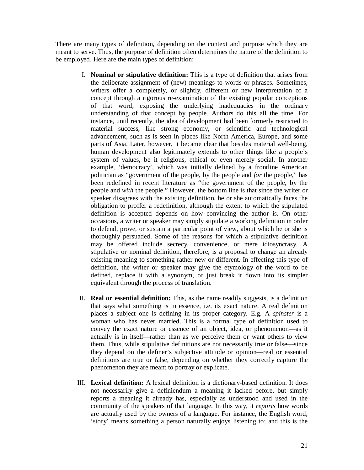There are many types of definition, depending on the context and purpose which they are meant to serve. Thus, the purpose of definition often determines the nature of the definition to be employed. Here are the main types of definition:

- I. **Nominal or stipulative definition:** This is a type of definition that arises from the deliberate assignment of (new) meanings to words or phrases. Sometimes, writers offer a completely, or slightly, different or new interpretation of a concept through a rigorous re-examination of the existing popular conceptions of that word, exposing the underlying inadequacies in the ordinary understanding of that concept by people. Authors do this all the time. For instance, until recently, the idea of development had been formerly restricted to material success, like strong economy, or scientific and technological advancement, such as is seen in places like North America, Europe, and some parts of Asia. Later, however, it became clear that besides material well-being, human development also legitimately extends to other things like a people's system of values, be it religious, ethical or even merely social. In another example, 'democracy', which was initially defined by a frontline American politician as "government of the people, by the people and *for* the people," has been redefined in recent literature as "the government of the people, by the people and *with* the people." However, the bottom line is that since the writer or speaker disagrees with the existing definition, he or she automatically faces the obligation to proffer a redefinition, although the extent to which the stipulated definition is accepted depends on how convincing the author is. On other occasions, a writer or speaker may simply stipulate a working definition in order to defend, prove, or sustain a particular point of view, about which he or she is thoroughly persuaded. Some of the reasons for which a stipulative definition may be offered include secrecy, convenience, or mere idiosyncrasy. A stipulative or nominal definition, therefore, is a proposal to change an already existing meaning to something rather new or different. In effecting this type of definition, the writer or speaker may give the etymology of the word to be defined, replace it with a synonym, or just break it down into its simpler equivalent through the process of translation.
- II. **Real or essential definition:** This, as the name readily suggests, is a definition that says what something is in essence, i.e. its exact nature. A real definition places a subject one is defining in its proper category. E.g. A *spinster* is a woman who has never married. This is a formal type of definition used to convey the exact nature or essence of an object, idea, or phenomenon—as it actually is in itself—rather than as we perceive them or want others to view them. Thus, while stipulative definitions are not necessarily true or false—since they depend on the definer's subjective attitude or opinion—real or essential definitions are true or false, depending on whether they correctly capture the phenomenon they are meant to portray or explicate.
- III. **Lexical definition:** A lexical definition is a dictionary-based definition. It does not necessarily give a definiendum a meaning it lacked before, but simply reports a meaning it already has, especially as understood and used in the community of the speakers of that language. In this way, it *reports* how words are actually used by the owners of a language. For instance, the English word, 'story' means something a person naturally enjoys listening to; and this is the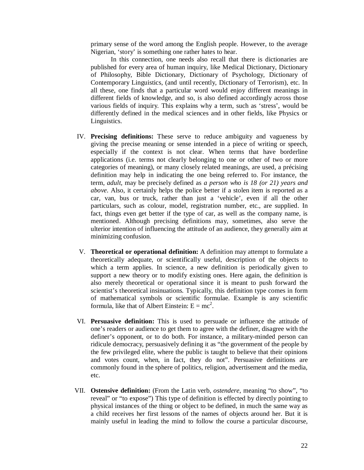primary sense of the word among the English people. However, to the average Nigerian, 'story' is something one rather hates to hear.

In this connection, one needs also recall that there is dictionaries are published for every area of human inquiry, like Medical Dictionary, Dictionary of Philosophy, Bible Dictionary, Dictionary of Psychology, Dictionary of Contemporary Linguistics, (and until recently, Dictionary of Terrorism), etc. In all these, one finds that a particular word would enjoy different meanings in different fields of knowledge, and so, is also defined accordingly across those various fields of inquiry. This explains why a term, such as 'stress', would be differently defined in the medical sciences and in other fields, like Physics or Linguistics.

- IV. **Precising definitions:** These serve to reduce ambiguity and vagueness by giving the precise meaning or sense intended in a piece of writing or speech, especially if the context is not clear. When terms that have borderline applications (i.e. terms not clearly belonging to one or other of two or more categories of meaning), or many closely related meanings, are used, a précising definition may help in indicating the one being referred to. For instance, the term, *adult*, may be precisely defined as *a person who is 18 (or 21) years and above*. Also, it certainly helps the police better if a stolen item is reported as a car, van, bus or truck, rather than just a 'vehicle', even if all the other particulars, such as colour, model, registration number, etc., are supplied. In fact, things even get better if the type of car, as well as the company name, is mentioned. Although precising definitions may, sometimes, also serve the ulterior intention of influencing the attitude of an audience, they generally aim at minimizing confusion.
- V. **Theoretical or operational definition:** A definition may attempt to formulate a theoretically adequate, or scientifically useful, description of the objects to which a term applies. In science, a new definition is periodically given to support a new theory or to modify existing ones. Here again, the definition is also merely theoretical or operational since it is meant to push forward the scientist's theoretical insinuations. Typically, this definition type comes in form of mathematical symbols or scientific formulae. Example is any scientific formula, like that of Albert Einstein:  $E = mc^2$ .
- VI. **Persuasive definition:** This is used to persuade or influence the attitude of one's readers or audience to get them to agree with the definer, disagree with the definer's opponent, or to do both. For instance, a military-minded person can ridicule democracy, persuasively defining it as "the government of the people by the few privileged elite, where the public is taught to believe that their opinions and votes count, when, in fact, they do not". Persuasive definitions are commonly found in the sphere of politics, religion, advertisement and the media, etc.
- VII. **Ostensive definition:** (From the Latin verb, *ostendere*, meaning "to show", "to reveal" or "to expose") This type of definition is effected by directly pointing to physical instances of the thing or object to be defined, in much the same way as a child receives her first lessons of the names of objects around her. But it is mainly useful in leading the mind to follow the course a particular discourse,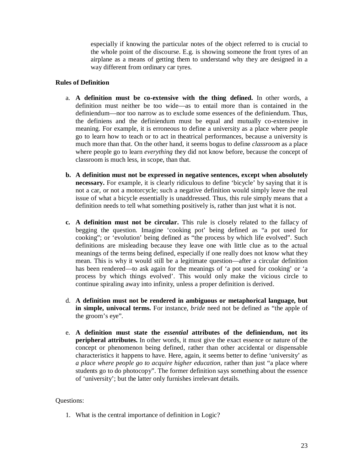especially if knowing the particular notes of the object referred to is crucial to the whole point of the discourse. E.g. is showing someone the front tyres of an airplane as a means of getting them to understand why they are designed in a way different from ordinary car tyres.

## **Rules of Definition**

- a. **A definition must be co-extensive with the thing defined.** In other words, a definition must neither be too wide—as to entail more than is contained in the definiendum—nor too narrow as to exclude some essences of the definiendum. Thus, the definiens and the definiendum must be equal and mutually co-extensive in meaning. For example, it is erroneous to define a university as a place where people go to learn how to teach or to act in theatrical performances, because a university is much more than that. On the other hand, it seems bogus to define *classroom* as a place where people go to learn *everything* they did not know before, because the concept of classroom is much less, in scope, than that.
- **b. A definition must not be expressed in negative sentences, except when absolutely necessary.** For example, it is clearly ridiculous to define 'bicycle' by saying that it is not a car, or not a motorcycle; such a negative definition would simply leave the real issue of what a bicycle essentially is unaddressed. Thus, this rule simply means that a definition needs to tell what something positively is, rather than just what it is not.
- **c. A definition must not be circular.** This rule is closely related to the fallacy of begging the question. Imagine 'cooking pot' being defined as "a pot used for cooking"; or 'evolution' being defined as "the process by which life evolved". Such definitions are misleading because they leave one with little clue as to the actual meanings of the terms being defined, especially if one really does not know what they mean. This is why it would still be a legitimate question—after a circular definition has been rendered—to ask again for the meanings of 'a pot used for cooking' or 'a process by which things evolved'. This would only make the vicious circle to continue spiraling away into infinity, unless a proper definition is derived.
- d. **A definition must not be rendered in ambiguous or metaphorical language, but in simple, univocal terms.** For instance, *bride* need not be defined as "the apple of the groom's eye".
- e. **A definition must state the** *essential* **attributes of the definiendum, not its peripheral attributes.** In other words, it must give the exact essence or nature of the concept or phenomenon being defined, rather than other accidental or dispensable characteristics it happens to have. Here, again, it seems better to define 'university' as *a place where people go to acquire higher education*, rather than just "a place where students go to do photocopy". The former definition says something about the essence of 'university'; but the latter only furnishes irrelevant details.

## Questions:

1. What is the central importance of definition in Logic?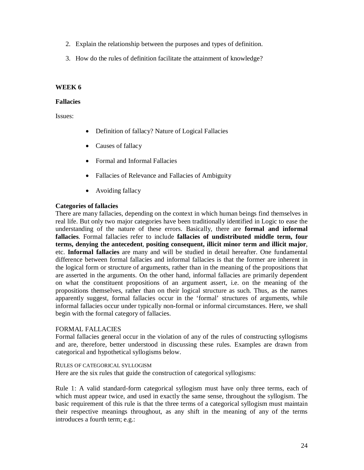- 2. Explain the relationship between the purposes and types of definition.
- 3. How do the rules of definition facilitate the attainment of knowledge?

## **WEEK 6**

#### **Fallacies**

Issues:

- Definition of fallacy? Nature of Logical Fallacies
- Causes of fallacy
- Formal and Informal Fallacies
- Fallacies of Relevance and Fallacies of Ambiguity
- Avoiding fallacy

## **Categories of fallacies**

There are many fallacies, depending on the context in which human beings find themselves in real life. But only two major categories have been traditionally identified in Logic to ease the understanding of the nature of these errors. Basically, there are **formal and informal fallacies**. Formal fallacies refer to include **fallacies of undistributed middle term, four terms, denying the antecedent**, **positing consequent, illicit minor term and illicit major**, etc. **Informal fallacies** are many and will be studied in detail hereafter. One fundamental difference between formal fallacies and informal fallacies is that the former are inherent in the logical form or structure of arguments, rather than in the meaning of the propositions that are asserted in the arguments. On the other hand, informal fallacies are primarily dependent on what the constituent propositions of an argument assert, i.e. on the meaning of the propositions themselves, rather than on their logical structure as such. Thus, as the names apparently suggest, formal fallacies occur in the 'formal' structures of arguments, while informal fallacies occur under typically non-formal or informal circumstances. Here, we shall begin with the formal category of fallacies.

#### FORMAL FALLACIES

Formal fallacies general occur in the violation of any of the rules of constructing syllogisms and are, therefore, better understood in discussing these rules. Examples are drawn from categorical and hypothetical syllogisms below.

#### RULES OF CATEGORICAL SYLLOGISM

Here are the six rules that guide the construction of categorical syllogisms:

Rule 1: A valid standard-form categorical syllogism must have only three terms, each of which must appear twice, and used in exactly the same sense, throughout the syllogism. The basic requirement of this rule is that the three terms of a categorical syllogism must maintain their respective meanings throughout, as any shift in the meaning of any of the terms introduces a fourth term; e.g.: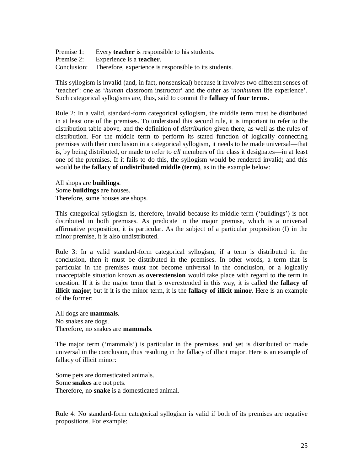| Premise 1: | Every <b>teacher</b> is responsible to his students.             |
|------------|------------------------------------------------------------------|
| Premise 2: | Experience is a <b>teacher</b> .                                 |
|            | Conclusion: Therefore, experience is responsible to its students |

This syllogism is invalid (and, in fact, nonsensical) because it involves two different senses of 'teacher': one as '*human* classroom instructor' and the other as '*nonhuman* life experience'. Such categorical syllogisms are, thus, said to commit the **fallacy of four terms**.

Rule 2: In a valid, standard-form categorical syllogism, the middle term must be distributed in at least one of the premises. To understand this second rule, it is important to refer to the distribution table above, and the definition of *distribution* given there, as well as the rules of distribution. For the middle term to perform its stated function of logically connecting premises with their conclusion in a categorical syllogism, it needs to be made universal—that is, by being distributed, or made to refer to *all* members of the class it designates—in at least one of the premises. If it fails to do this, the syllogism would be rendered invalid; and this would be the **fallacy of undistributed middle (term)**, as in the example below:

All shops are **buildings**. Some **buildings** are houses. Therefore, some houses are shops.

This categorical syllogism is, therefore, invalid because its middle term ('buildings') is not distributed in both premises. As predicate in the major premise, which is a universal affirmative proposition, it is particular. As the subject of a particular proposition (I) in the minor premise, it is also undistributed.

Rule 3: In a valid standard-form categorical syllogism, if a term is distributed in the conclusion, then it must be distributed in the premises. In other words, a term that is particular in the premises must not become universal in the conclusion, or a logically unacceptable situation known as **overextension** would take place with regard to the term in question. If it is the major term that is overextended in this way, it is called the **fallacy of illicit major**; but if it is the minor term, it is the **fallacy of illicit minor**. Here is an example of the former:

All dogs are **mammals**. No snakes are dogs. Therefore, no snakes are **mammals**.

The major term ('mammals') is particular in the premises, and yet is distributed or made universal in the conclusion, thus resulting in the fallacy of illicit major. Here is an example of fallacy of illicit minor:

Some pets are domesticated animals. Some **snakes** are not pets. Therefore, no **snake** is a domesticated animal.

Rule 4: No standard-form categorical syllogism is valid if both of its premises are negative propositions. For example: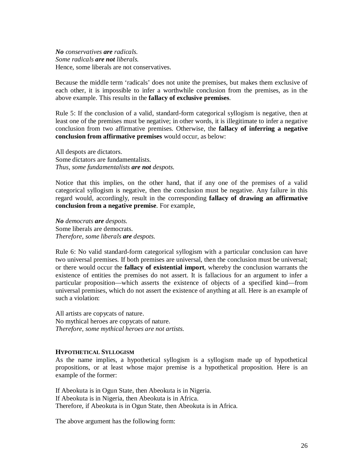*No conservatives are radicals. Some radicals are not liberals.* Hence, some liberals are not conservatives.

Because the middle term 'radicals' does not unite the premises, but makes them exclusive of each other, it is impossible to infer a worthwhile conclusion from the premises, as in the above example. This results in the **fallacy of exclusive premises**.

Rule 5: If the conclusion of a valid, standard-form categorical syllogism is negative, then at least one of the premises must be negative; in other words, it is illegitimate to infer a negative conclusion from two affirmative premises. Otherwise, the **fallacy of inferring a negative conclusion from affirmative premises** would occur, as below:

All despots are dictators. Some dictators are fundamentalists. *Thus, some fundamentalists are not despots.*

Notice that this implies, on the other hand, that if any one of the premises of a valid categorical syllogism is negative, then the conclusion must be negative. Any failure in this regard would, accordingly, result in the corresponding **fallacy of drawing an affirmative conclusion from a negative premise**. For example,

*No democrats are despots.* Some liberals are democrats. *Therefore, some liberals are despots.*

Rule 6: No valid standard-form categorical syllogism with a particular conclusion can have two universal premises. If both premises are universal, then the conclusion must be universal; or there would occur the **fallacy of existential import**, whereby the conclusion warrants the existence of entities the premises do not assert. It is fallacious for an argument to infer a particular proposition—which asserts the existence of objects of a specified kind—from universal premises, which do not assert the existence of anything at all. Here is an example of such a violation:

All artists are copycats of nature. No mythical heroes are copycats of nature. *Therefore, some mythical heroes are not artists.*

#### **HYPOTHETICAL SYLLOGISM**

As the name implies, a hypothetical syllogism is a syllogism made up of hypothetical propositions, or at least whose major premise is a hypothetical proposition. Here is an example of the former:

If Abeokuta is in Ogun State, then Abeokuta is in Nigeria. If Abeokuta is in Nigeria, then Abeokuta is in Africa. Therefore, if Abeokuta is in Ogun State, then Abeokuta is in Africa.

The above argument has the following form: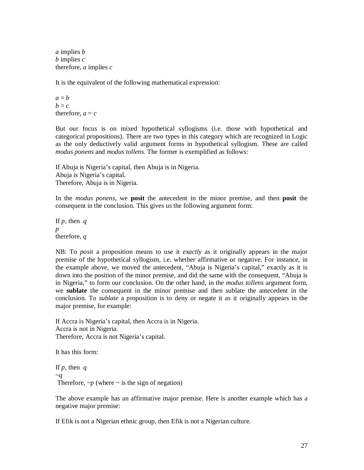*a* implies *b b* implies *c* therefore, *a* implies *c*

It is the equivalent of the following mathematical expression:

 $a = b$  $b = c$ therefore,  $a = c$ 

But our focus is on mixed hypothetical syllogisms (i.e. those with hypothetical and categorical propositions). There are two types in this category which are recognized in Logic as the only deductively valid argument forms in hypothetical syllogism. These are called *modus ponens* and *modus tollens.* The former is exemplified as follows:

If Abuja is Nigeria's capital, then Abuja is in Nigeria. Abuja is Nigeria's capital. Therefore, Abuja is in Nigeria.

In the *modus ponens*, we **posit** the antecedent in the minor premise, and then **posit** the consequent in the conclusion. This gives us the following argument form:

If *p*, then *q p* therefore, *q*

NB: To *posit* a proposition means to use it *exactly* as it originally appears in the major premise of the hypothetical syllogism, i.e. whether affirmative or negative. For instance, in the example above, we moved the antecedent, "Abuja is Nigeria's capital," exactly as it is down into the position of the minor premise, and did the same with the consequent, "Abuja is in Nigeria," to form our conclusion. On the other hand, in the *modus tollens* argument form, we **sublate** the consequent in the minor premise and then sublate the antecedent in the conclusion. To *sublate* a proposition is to deny or negate it as it originally appears in the major premise, for example:

If Accra is Nigeria's capital, then Accra is in Nigeria. Accra is not in Nigeria. Therefore, Accra is not Nigeria's capital.

It has this form:

If *p*, then *q ~q* Therefore,  $\neg p$  (where  $\neg$  is the sign of negation)

The above example has an affirmative major premise. Here is another example which has a negative major premise:

If Efik is not a Nigerian ethnic group, then Efik is not a Nigerian culture.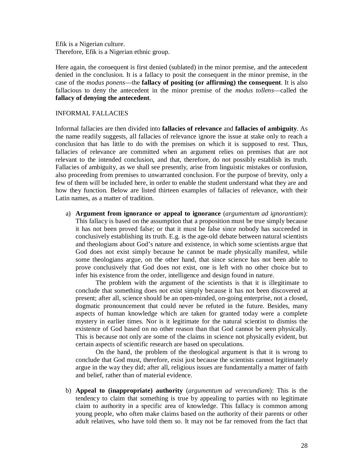Efik is a Nigerian culture. Therefore, Efik is a Nigerian ethnic group.

Here again, the consequent is first denied (sublated) in the minor premise, and the antecedent denied in the conclusion. It is a fallacy to posit the consequent in the minor premise, in the case of the *modus ponens*—the **fallacy of positing (or affirming) the consequent**. It is also fallacious to deny the antecedent in the minor premise of the *modus tollens*—called the **fallacy of denying the antecedent**.

#### INFORMAL FALLACIES

Informal fallacies are then divided into **fallacies of relevance** and **fallacies of ambiguity**. As the name readily suggests, all fallacies of relevance ignore the issue at stake only to reach a conclusion that has little to do with the premises on which it is supposed to rest. Thus, fallacies of relevance are committed when an argument relies on premises that are not relevant to the intended conclusion, and that, therefore, do not possibly establish its truth. Fallacies of ambiguity, as we shall see presently, arise from linguistic mistakes or confusion, also proceeding from premises to unwarranted conclusion. For the purpose of brevity, only a few of them will be included here, in order to enable the student understand what they are and how they function. Below are listed thirteen examples of fallacies of relevance, with their Latin names, as a matter of tradition.

a) **Argument from ignorance or appeal to ignorance** (*argumentum ad ignorantiam*): This fallacy is based on the assumption that a proposition must be true simply because it has not been proved false; or that it must be false since nobody has succeeded in conclusively establishing its truth. E.g. is the age-old debate between natural scientists and theologians about God's nature and existence, in which some scientists argue that God does not exist simply because he cannot be made physically manifest, while some theologians argue, on the other hand, that since science has not been able to prove conclusively that God does not exist, one is left with no other choice but to infer his existence from the order, intelligence and design found in nature.

The problem with the argument of the scientists is that it is illegitimate to conclude that something does not exist simply because it has not been discovered at present; after all, science should be an open-minded, on-going enterprise, not a closed, dogmatic pronouncement that could never be refuted in the future. Besides, many aspects of human knowledge which are taken for granted today were a complete mystery in earlier times. Nor is it legitimate for the natural scientist to dismiss the existence of God based on no other reason than that God cannot be seen physically. This is because not only are some of the claims in science not physically evident, but certain aspects of scientific research are based on speculations.

On the hand, the problem of the theological argument is that it is wrong to conclude that God must, therefore, exist just because the scientists cannot legitimately argue in the way they did; after all, religious issues are fundamentally a matter of faith and belief, rather than of material evidence.

b) **Appeal to (inappropriate) authority** (*argumentum ad verecundiam*): This is the tendency to claim that something is true by appealing to parties with no legitimate claim to authority in a specific area of knowledge. This fallacy is common among young people, who often make claims based on the authority of their parents or other adult relatives, who have told them so. It may not be far removed from the fact that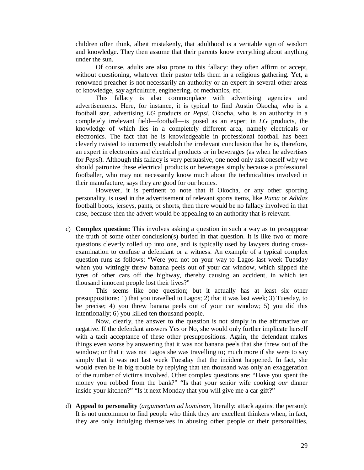children often think, albeit mistakenly, that adulthood is a veritable sign of wisdom and knowledge. They then assume that their parents know everything about anything under the sun.

Of course, adults are also prone to this fallacy: they often affirm or accept, without questioning, whatever their pastor tells them in a religious gathering. Yet, a renowned preacher is not necessarily an authority or an expert in several other areas of knowledge, say agriculture, engineering, or mechanics, etc.

This fallacy is also commonplace with advertising agencies and advertisements. Here, for instance, it is typical to find Austin Okocha, who is a football star, advertising *LG* products or *Pepsi*. Okocha, who is an authority in a completely irrelevant field—football—is posed as an expert in *LG* products, the knowledge of which lies in a completely different area, namely electricals or electronics. The fact that he is knowledgeable in professional football has been cleverly twisted to incorrectly establish the irrelevant conclusion that he is, therefore, an expert in electronics and electrical products or in beverages (as when he advertises for *Pepsi*). Although this fallacy is very persuasive, one need only ask oneself why we should patronize these electrical products or beverages simply because a professional footballer, who may not necessarily know much about the technicalities involved in their manufacture, says they are good for our homes.

However, it is pertinent to note that if Okocha, or any other sporting personality, is used in the advertisement of relevant sports items, like *Puma* or *Adidas*  football boots, jerseys, pants, or shorts, then there would be no fallacy involved in that case, because then the advert would be appealing to an authority that is relevant.

c) **Complex question:** This involves asking a question in such a way as to presuppose the truth of some other conclusion(s) buried in that question. It is like two or more questions cleverly rolled up into one, and is typically used by lawyers during crossexamination to confuse a defendant or a witness. An example of a typical complex question runs as follows: "Were you not on your way to Lagos last week Tuesday when you wittingly threw banana peels out of your car window, which slipped the tyres of other cars off the highway, thereby causing an accident, in which ten thousand innocent people lost their lives?"

This seems like one question; but it actually has at least six other presuppositions: 1) that you travelled to Lagos; 2) that it was last week; 3) Tuesday, to be precise; 4) you threw banana peels out of your car window; 5) you did this intentionally; 6) you killed ten thousand people.

Now, clearly, the answer to the question is not simply in the affirmative or negative. If the defendant answers Yes or No, she would only further implicate herself with a tacit acceptance of these other presuppositions. Again, the defendant makes things even worse by answering that it was not banana peels that she threw out of the window; or that it was not Lagos she was travelling to; much more if she were to say simply that it was not last week Tuesday that the incident happened. In fact, she would even be in big trouble by replying that ten thousand was only an exaggeration of the number of victims involved. Other complex questions are: "Have you spent the money you robbed from the bank?" "Is that your senior wife cooking *our* dinner inside your kitchen?" "Is it next Monday that you will give me a car gift?"

d) **Appeal to personality** (*argumentum ad hominem*, literally: attack against the person): It is not uncommon to find people who think they are excellent thinkers when, in fact, they are only indulging themselves in abusing other people or their personalities,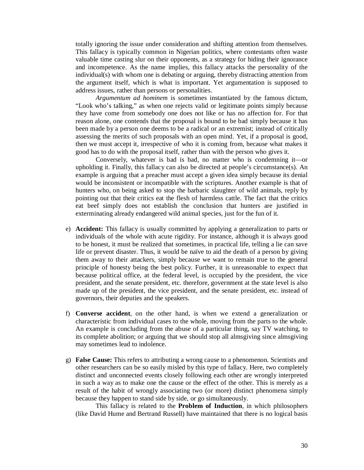totally ignoring the issue under consideration and shifting attention from themselves. This fallacy is typically common in Nigerian politics, where contestants often waste valuable time casting slur on their opponents, as a strategy for hiding their ignorance and incompetence. As the name implies, this fallacy attacks the personality of the individual(s) with whom one is debating or arguing, thereby distracting attention from the argument itself, which is what is important. Yet argumentation is supposed to address issues, rather than persons or personalities.

*Argumentum ad hominem* is sometimes instantiated by the famous dictum, "Look who's talking," as when one rejects valid or legitimate points simply because they have come from somebody one does not like or has no affection for. For that reason alone, one contends that the proposal is bound to be bad simply because it has been made by a person one deems to be a radical or an extremist; instead of critically assessing the merits of such proposals with an open mind. Yet, if a proposal is good, then we must accept it, irrespective of who it is coming from, because what makes it good has to do with the proposal itself, rather than with the person who gives it.

Conversely, whatever is bad is bad, no matter who is condemning it—or upholding it. Finally, this fallacy can also be directed at people's circumstance(s). An example is arguing that a preacher must accept a given idea simply because its denial would be inconsistent or incompatible with the scriptures. Another example is that of hunters who, on being asked to stop the barbaric slaughter of wild animals, reply by pointing out that their critics eat the flesh of harmless cattle. The fact that the critics eat beef simply does not establish the conclusion that hunters are justified in exterminating already endangered wild animal species, just for the fun of it.

- e) **Accident:** This fallacy is usually committed by applying a generalization to parts or individuals of the whole with acute rigidity. For instance, although it is always good to be honest, it must be realized that sometimes, in practical life, telling a lie can save life or prevent disaster. Thus, it would be naïve to aid the death of a person by giving them away to their attackers, simply because we want to remain true to the general principle of honesty being the best policy. Further, it is unreasonable to expect that because political office, at the federal level, is occupied by the president, the vice president, and the senate president, etc. therefore, government at the state level is also made up of the president, the vice president, and the senate president, etc. instead of governors, their deputies and the speakers.
- f) **Converse accident**, on the other hand, is when we extend a generalization or characteristic from individual cases to the whole, moving from the parts to the whole. An example is concluding from the abuse of a particular thing, say TV watching, to its complete abolition; or arguing that we should stop all almsgiving since almsgiving may sometimes lead to indolence.
- g) **False Cause:** This refers to attributing a wrong cause to a phenomenon. Scientists and other researchers can be so easily misled by this type of fallacy. Here, two completely distinct and unconnected events closely following each other are wrongly interpreted in such a way as to make one the cause or the effect of the other. This is merely as a result of the habit of wrongly associating two (or more) distinct phenomena simply because they happen to stand side by side, or go simultaneously.

This fallacy is related to the **Problem of Induction**, in which philosophers (like David Hume and Bertrand Russell) have maintained that there is no logical basis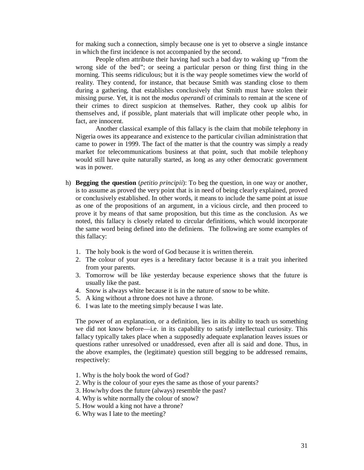for making such a connection, simply because one is yet to observe a single instance in which the first incidence is not accompanied by the second.

People often attribute their having had such a bad day to waking up "from the wrong side of the bed"; or seeing a particular person or thing first thing in the morning. This seems ridiculous; but it is the way people sometimes view the world of reality. They contend, for instance, that because Smith was standing close to them during a gathering, that establishes conclusively that Smith must have stolen their missing purse. Yet, it is not the *modus operandi* of criminals to remain at the scene of their crimes to direct suspicion at themselves. Rather, they cook up alibis for themselves and, if possible, plant materials that will implicate other people who, in fact, are innocent.

Another classical example of this fallacy is the claim that mobile telephony in Nigeria owes its appearance and existence to the particular civilian administration that came to power in 1999. The fact of the matter is that the country was simply a ready market for telecommunications business at that point, such that mobile telephony would still have quite naturally started, as long as any other democratic government was in power.

- h) **Begging the question** (*petitio principii*): To beg the question, in one way or another, is to assume as proved the very point that is in need of being clearly explained, proved or conclusively established. In other words, it means to include the same point at issue as one of the propositions of an argument, in a vicious circle, and then proceed to prove it by means of that same proposition, but this time as the conclusion. As we noted, this fallacy is closely related to circular definitions, which would incorporate the same word being defined into the definiens. The following are some examples of this fallacy:
	- 1. The holy book is the word of God because it is written therein.
	- 2. The colour of your eyes is a hereditary factor because it is a trait you inherited from your parents.
	- 3. Tomorrow will be like yesterday because experience shows that the future is usually like the past.
	- 4. Snow is always white because it is in the nature of snow to be white.
	- 5. A king without a throne does not have a throne.
	- 6. I was late to the meeting simply because I was late.

The power of an explanation, or a definition, lies in its ability to teach us something we did not know before—i.e. in its capability to satisfy intellectual curiosity. This fallacy typically takes place when a supposedly adequate explanation leaves issues or questions rather unresolved or unaddressed, even after all is said and done. Thus, in the above examples, the (legitimate) question still begging to be addressed remains, respectively:

- 1. Why is the holy book the word of God?
- 2. Why is the colour of your eyes the same as those of your parents?
- 3. How/why does the future (always) resemble the past?
- 4. Why is white normally the colour of snow?
- 5. How would a king not have a throne?
- 6. Why was I late to the meeting?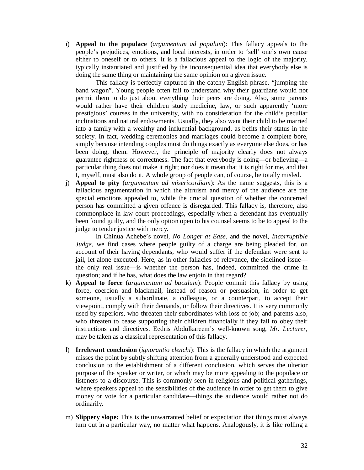i) **Appeal to the populace** (*argumentum ad populum*): This fallacy appeals to the people's prejudices, emotions, and local interests, in order to 'sell' one's own cause either to oneself or to others. It is a fallacious appeal to the logic of the majority, typically instantiated and justified by the inconsequential idea that everybody else is doing the same thing or maintaining the same opinion on a given issue.

This fallacy is perfectly captured in the catchy English phrase, "jumping the band wagon". Young people often fail to understand why their guardians would not permit them to do just about everything their peers are doing. Also, some parents would rather have their children study medicine, law, or such apparently 'more prestigious' courses in the university, with no consideration for the child's peculiar inclinations and natural endowments. Usually, they also want their child to be married into a family with a wealthy and influential background, as befits their status in the society. In fact, wedding ceremonies and marriages could become a complete bore, simply because intending couples must do things exactly as everyone else does, or has been doing, them. However, the principle of majority clearly does not always guarantee rightness or correctness. The fact that everybody is doing—or believing—a particular thing does not make it right; nor does it mean that it is right for me, and that I, myself, must also do it. A whole group of people can, of course, be totally misled.

j) **Appeal to pity** (*argumentum ad misericordiam*): As the name suggests, this is a fallacious argumentation in which the altruism and mercy of the audience are the special emotions appealed to, while the crucial question of whether the concerned person has committed a given offence is disregarded. This fallacy is, therefore, also commonplace in law court proceedings, especially when a defendant has eventually been found guilty, and the only option open to his counsel seems to be to appeal to the judge to tender justice with mercy.

In Chinua Achebe's novel, *No Longer at Ease*, and the novel, *Incorruptible Judge*, we find cases where people guilty of a charge are being pleaded for, on account of their having dependants, who would suffer if the defendant were sent to jail, let alone executed. Here, as in other fallacies of relevance, the sidelined issue the only real issue—is whether the person has, indeed, committed the crime in question; and if he has, what does the law enjoin in that regard?

- k) **Appeal to force** (*argumentum ad baculum*): People commit this fallacy by using force, coercion and blackmail, instead of reason or persuasion, in order to get someone, usually a subordinate, a colleague, or a counterpart, to accept their viewpoint, comply with their demands, or follow their directives. It is very commonly used by superiors, who threaten their subordinates with loss of job; and parents also, who threaten to cease supporting their children financially if they fail to obey their instructions and directives. Eedris Abdulkareem's well-known song, *Mr. Lecturer*, may be taken as a classical representation of this fallacy.
- l) **Irrelevant conclusion** (*ignorantio elenchi*): This is the fallacy in which the argument misses the point by subtly shifting attention from a generally understood and expected conclusion to the establishment of a different conclusion, which serves the ulterior purpose of the speaker or writer, or which may be more appealing to the populace or listeners to a discourse. This is commonly seen in religious and political gatherings, where speakers appeal to the sensibilities of the audience in order to get them to give money or vote for a particular candidate—things the audience would rather not do ordinarily.
- m) **Slippery slope:** This is the unwarranted belief or expectation that things must always turn out in a particular way, no matter what happens. Analogously, it is like rolling a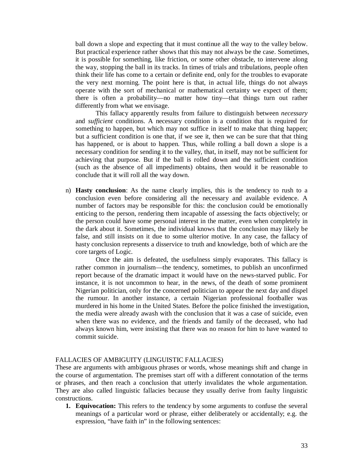ball down a slope and expecting that it must continue all the way to the valley below. But practical experience rather shows that this may not always be the case. Sometimes, it is possible for something, like friction, or some other obstacle, to intervene along the way, stopping the ball in its tracks. In times of trials and tribulations, people often think their life has come to a certain or definite end, only for the troubles to evaporate the very next morning. The point here is that, in actual life, things do not always operate with the sort of mechanical or mathematical certainty we expect of them; there is often a probability—no matter how tiny—that things turn out rather differently from what we envisage.

This fallacy apparently results from failure to distinguish between *necessary* and *sufficient* conditions. A necessary condition is a condition that is required for something to happen, but which may not suffice in itself to make that thing happen; but a sufficient condition is one that, if we see it, then we can be sure that that thing has happened, or is about to happen. Thus, while rolling a ball down a slope is a necessary condition for sending it to the valley, that, in itself, may not be sufficient for achieving that purpose. But if the ball is rolled down and the sufficient condition (such as the absence of all impediments) obtains, then would it be reasonable to conclude that it will roll all the way down.

n) **Hasty conclusion**: As the name clearly implies, this is the tendency to rush to a conclusion even before considering all the necessary and available evidence. A number of factors may be responsible for this: the conclusion could be emotionally enticing to the person, rendering them incapable of assessing the facts objectively; or the person could have some personal interest in the matter, even when completely in the dark about it. Sometimes, the individual knows that the conclusion may likely be false, and still insists on it due to some ulterior motive. In any case, the fallacy of hasty conclusion represents a disservice to truth and knowledge, both of which are the core targets of Logic.

Once the aim is defeated, the usefulness simply evaporates. This fallacy is rather common in journalism—the tendency, sometimes, to publish an unconfirmed report because of the dramatic impact it would have on the news-starved public. For instance, it is not uncommon to hear, in the news, of the death of some prominent Nigerian politician, only for the concerned politician to appear the next day and dispel the rumour. In another instance, a certain Nigerian professional footballer was murdered in his home in the United States. Before the police finished the investigation, the media were already awash with the conclusion that it was a case of suicide, even when there was no evidence, and the friends and family of the deceased, who had always known him, were insisting that there was no reason for him to have wanted to commit suicide.

#### FALLACIES OF AMBIGUITY (LINGUISTIC FALLACIES)

These are arguments with ambiguous phrases or words, whose meanings shift and change in the course of argumentation. The premises start off with a different connotation of the terms or phrases, and then reach a conclusion that utterly invalidates the whole argumentation. They are also called linguistic fallacies because they usually derive from faulty linguistic constructions.

**1. Equivocation:** This refers to the tendency by some arguments to confuse the several meanings of a particular word or phrase, either deliberately or accidentally; e.g. the expression, "have faith in" in the following sentences: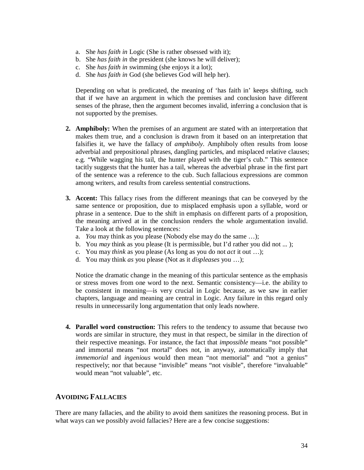- a. She *has faith in* Logic (She is rather obsessed with it);
- b. She *has faith in* the president (she knows he will deliver);
- c. She *has faith in* swimming (she enjoys it a lot);
- d. She *has faith in* God (she believes God will help her).

Depending on what is predicated, the meaning of 'has faith in' keeps shifting, such that if we have an argument in which the premises and conclusion have different senses of the phrase, then the argument becomes invalid, inferring a conclusion that is not supported by the premises.

- **2. Amphiboly:** When the premises of an argument are stated with an interpretation that makes them true, and a conclusion is drawn from it based on an interpretation that falsifies it, we have the fallacy of *amphiboly*. Amphiboly often results from loose adverbial and prepositional phrases, dangling particles, and misplaced relative clauses; e.g. "While wagging his tail, the hunter played with the tiger's cub." This sentence tacitly suggests that the hunter has a tail, whereas the adverbial phrase in the first part of the sentence was a reference to the cub. Such fallacious expressions are common among writers, and results from careless sentential constructions.
- **3. Accent:** This fallacy rises from the different meanings that can be conveyed by the same sentence or proposition, due to misplaced emphasis upon a syllable, word or phrase in a sentence. Due to the shift in emphasis on different parts of a proposition, the meaning arrived at in the conclusion renders the whole argumentation invalid. Take a look at the following sentences:
	- a. *You* may think as you please (Nobody else may do the same …);
	- b. You *may* think as you please (It is permissible, but I'd rather you did not ... );
	- c. You may *think* as you please (As long as you do not *act* it out …);
	- d. You may think *as* you please (Not as it *displeases* you …);

Notice the dramatic change in the meaning of this particular sentence as the emphasis or stress moves from one word to the next. Semantic consistency—i.e. the ability to be consistent in meaning—is very crucial in Logic because, as we saw in earlier chapters, language and meaning are central in Logic. Any failure in this regard only results in unnecessarily long argumentation that only leads nowhere.

**4. Parallel word construction:** This refers to the tendency to assume that because two words are similar in structure, they must in that respect, be similar in the direction of their respective meanings. For instance, the fact that *impossible* means "not possible" and immortal means "not mortal" does not, in anyway, automatically imply that *immemorial* and *ingenious* would then mean "not memorial" and "not a genius" respectively; nor that because "invisible" means "not visible", therefore "invaluable" would mean "not valuable", etc.

## **AVOIDING FALLACIES**

There are many fallacies, and the ability to avoid them sanitizes the reasoning process. But in what ways can we possibly avoid fallacies? Here are a few concise suggestions: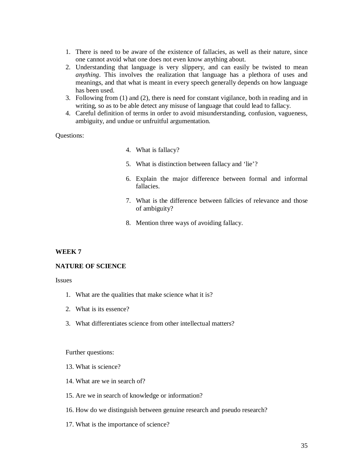- 1. There is need to be aware of the existence of fallacies, as well as their nature, since one cannot avoid what one does not even know anything about.
- 2. Understanding that language is very slippery, and can easily be twisted to mean *anything*. This involves the realization that language has a plethora of uses and meanings, and that what is meant in every speech generally depends on how language has been used.
- 3. Following from (1) and (2), there is need for constant vigilance, both in reading and in writing, so as to be able detect any misuse of language that could lead to fallacy.
- 4. Careful definition of terms in order to avoid misunderstanding, confusion, vagueness, ambiguity, and undue or unfruitful argumentation.

#### Questions:

- 4. What is fallacy?
- 5. What is distinction between fallacy and 'lie'?
- 6. Explain the major difference between formal and informal fallacies.
- 7. What is the difference between fallcies of relevance and those of ambiguity?
- 8. Mention three ways of avoiding fallacy.

## **WEEK 7**

## **NATURE OF SCIENCE**

Issues

- 1. What are the qualities that make science what it is?
- 2. What is its essence?
- 3. What differentiates science from other intellectual matters?

#### Further questions:

- 13. What is science?
- 14. What are we in search of?
- 15. Are we in search of knowledge or information?
- 16. How do we distinguish between genuine research and pseudo research?
- 17. What is the importance of science?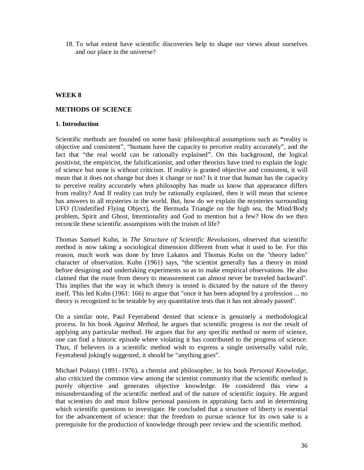18. To what extent have scientific discoveries help to shape our views about ourselves and our place in the universe?

#### **WEEK 8**

#### **METHODS OF SCIENCE**

#### **1. Introduction**

Scientific methods are founded on some basic philosophical assumptions such as **"**reality is objective and consistent", "humans have the capacity to perceive reality accurately", and the fact that "the real world can be rationally explained". On this background, the logical positivist, the empiricist, the falsificationist, and other theorists have tried to explain the logic of science but none is without criticism. If reality is granted objective and consistent, it will mean that it does not change but does it change or not? Is it true that human has the capacity to perceive reality accurately when philosophy has made us know that appearance differs from reality? And If reality can truly be rationally explained, then it will mean that science has answers to all mysteries in the world. But, how do we explain the mysteries surrounding UFO (Unidetified Flying Object), the Bermuda Triangle on the high sea, the Mind/Body problem, Spirit and Ghost, Intentionality and God to mention but a few? How do we then reconcile these scientific assumptions with the truism of life?

Thomas Samuel Kuhn, in *The Structure of Scientific Revolutions*, observed that scientific method is now taking a sociological dimension different from what it used to be. For this reason, much work was done by Imre Lakatos and Thomas Kuhn on the "theory laden" character of observation. Kuhn (1961) says, "the scientist generally has a theory in mind before designing and undertaking experiments so as to make empirical observations. He also claimed that the route from theory to measurement can almost never be traveled backward". This implies that the way in which theory is tested is dictated by the nature of the theory itself. This led Kuhn (1961: 166) to argue that "once it has been adopted by a profession ... no theory is recognized to be testable by any quantitative tests that it has not already passed".

On a similar note, Paul Feyerabend denied that science is genuinely a methodological process. In his book *Against Method*, he argues that scientific progress is *not* the result of applying any particular method. He argues that for any specific method or norm of science, one can find a historic episode where violating it has contributed to the progress of science. Thus, if believers in a scientific method wish to express a single universally valid rule, Feyerabend jokingly suggested, it should be "anything goes".

Michael Polanyi (1891–1976), a chemist and philosopher, in his book *Personal Knowledge*, also criticized the common view among the scientist community that the scientific method is purely objective and generates objective knowledge. He considered this view a misunderstanding of the scientific method and of the nature of scientific inquiry. He argued that scientists do and must follow personal passions in appraising facts and in determining which scientific questions to investigate. He concluded that a structure of liberty is essential for the advancement of science: that the freedom to pursue science for its own sake is a prerequisite for the production of knowledge through peer review and the scientific method.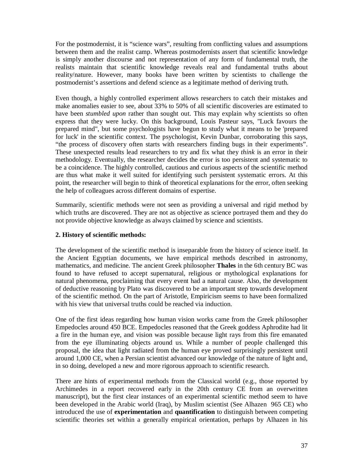For the postmodernist, it is "science wars", resulting from conflicting values and assumptions between them and the realist camp. Whereas postmodernists assert that scientific knowledge is simply another discourse and not representation of any form of fundamental truth, the realists maintain that scientific knowledge reveals real and fundamental truths about reality/nature. However, many books have been written by scientists to challenge the postmodernist's assertions and defend science as a legitimate method of deriving truth.

Even though, a highly controlled experiment allows researchers to catch their mistakes and make anomalies easier to see, about 33% to 50% of all scientific discoveries are estimated to have been *stumbled upon* rather than sought out. This may explain why scientists so often express that they were lucky. On this background, Louis Pasteur says, "Luck favours the prepared mind", but some psychologists have begun to study what it means to be 'prepared for luck' in the scientific context. The psychologist, Kevin Dunbar, corroborating this says, "the process of discovery often starts with researchers finding bugs in their experiments". These unexpected results lead researchers to try and fix what they *think* is an error in their methodology. Eventually, the researcher decides the error is too persistent and systematic to be a coincidence. The highly controlled, cautious and curious aspects of the scientific method are thus what make it well suited for identifying such persistent systematic errors. At this point, the researcher will begin to think of theoretical explanations for the error, often seeking the help of colleagues across different domains of expertise.

Summarily, scientific methods were not seen as providing a universal and rigid method by which truths are discovered. They are not as objective as science portrayed them and they do not provide objective knowledge as always claimed by science and scientists.

## **2. History of scientific methods:**

The development of the scientific method is inseparable from the history of science itself. In the Ancient Egyptian documents, we have empirical methods described in astronomy, mathematics, and medicine. The ancient Greek philosopher **Thales** in the 6th century BC was found to have refused to accept supernatural, religious or mythological explanations for natural phenomena, proclaiming that every event had a natural cause. Also, the development of deductive reasoning by Plato was discovered to be an important step towards development of the scientific method. On the part of Aristotle, Empiricism seems to have been formalized with his view that universal truths could be reached via induction.

One of the first ideas regarding how human vision works came from the Greek philosopher Empedocles around 450 BCE. Empedocles reasoned that the Greek goddess Aphrodite had lit a fire in the human eye, and vision was possible because light rays from this fire emanated from the eye illuminating objects around us. While a number of people challenged this proposal, the idea that light radiated from the human eye proved surprisingly persistent until around 1,000 CE, when a Persian scientist advanced our knowledge of the nature of light and, in so doing, developed a new and more rigorous approach to scientific research.

There are hints of experimental methods from the Classical world (e.g., those reported by Archimedes in a report recovered early in the 20th century CE from an overwritten manuscript), but the first clear instances of an experimental scientific method seem to have been developed in the Arabic world (Iraq), by Muslim scientist (See Alhazen 965 CE) who introduced the use of **experimentation** and **quantification** to distinguish between competing scientific theories set within a generally empirical orientation, perhaps by Alhazen in his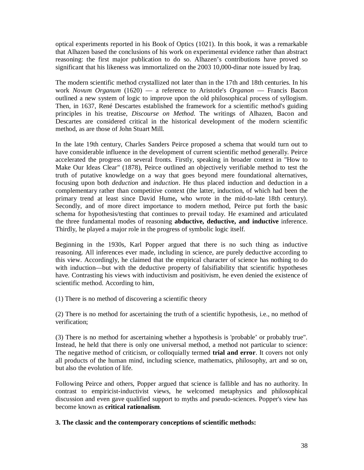optical experiments reported in his Book of Optics (1021). In this book, it was a remarkable that Alhazen based the conclusions of his work on experimental evidence rather than abstract reasoning: the first major publication to do so. Alhazen's contributions have proved so significant that his likeness was immortalized on the 2003 10,000-dinar note issued by Iraq.

The modern scientific method crystallized not later than in the 17th and 18th centuries. In his work *Novum Organum* (1620) — a reference to Aristotle's *Organon* — Francis Bacon outlined a new system of logic to improve upon the old philosophical process of syllogism. Then, in 1637, René Descartes established the framework for a scientific method's guiding principles in his treatise, *Discourse on Method*. The writings of Alhazen, Bacon and Descartes are considered critical in the historical development of the modern scientific method, as are those of John Stuart Mill.

In the late 19th century, Charles Sanders Peirce proposed a schema that would turn out to have considerable influence in the development of current scientific method generally. Peirce accelerated the progress on several fronts. Firstly, speaking in broader context in "How to Make Our Ideas Clear" (1878), Peirce outlined an objectively verifiable method to test the truth of putative knowledge on a way that goes beyond mere foundational alternatives, focusing upon both *deduction* and *induction*. He thus placed induction and deduction in a complementary rather than competitive context (the latter, induction, of which had been the primary trend at least since David Hume**,** who wrote in the mid-to-late 18th century). Secondly, and of more direct importance to modern method, Peirce put forth the basic schema for hypothesis/testing that continues to prevail today. He examined and articulated the three fundamental modes of reasoning **abductive, deductive, and inductive** inference. Thirdly, he played a major role in the progress of symbolic logic itself.

Beginning in the 1930s, Karl Popper argued that there is no such thing as inductive reasoning. All inferences ever made, including in science, are purely deductive according to this view. Accordingly, he claimed that the empirical character of science has nothing to do with induction—but with the deductive property of falsifiability that scientific hypotheses have. Contrasting his views with inductivism and positivism, he even denied the existence of scientific method. According to him,

(1) There is no method of discovering a scientific theory

(2) There is no method for ascertaining the truth of a scientific hypothesis, i.e., no method of verification;

(3) There is no method for ascertaining whether a hypothesis is 'probable' or probably true". Instead, he held that there is only one universal method, a method not particular to science: The negative method of criticism, or colloquially termed **trial and error**. It covers not only all products of the human mind, including science, mathematics, philosophy, art and so on, but also the evolution of life.

Following Peirce and others, Popper argued that science is fallible and has no authority. In contrast to empiricist-inductivist views, he welcomed metaphysics and philosophical discussion and even gave qualified support to myths and pseudo-sciences. Popper's view has become known as **critical rationalism**.

**3. The classic and the contemporary conceptions of scientific methods:**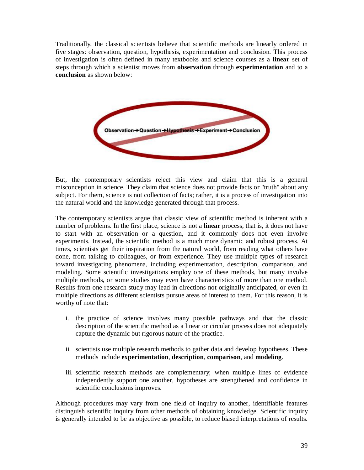Traditionally, the classical scientists believe that scientific methods are linearly ordered in five stages: observation, question, hypothesis, experimentation and conclusion. This process of investigation is often defined in many textbooks and science courses as a **linear** set of steps through which a scientist moves from **observation** through **experimentation** and to a **conclusion** as shown below:



But, the contemporary scientists reject this view and claim that this is a general misconception in science. They claim that science does not provide facts or "truth" about any subject. For them, science is not collection of facts; rather, it is a process of investigation into the natural world and the knowledge generated through that process.

The contemporary scientists argue that classic view of scientific method is inherent with a number of problems. In the first place, science is not a **linear** process, that is, it does not have to start with an observation or a question, and it commonly does not even involve experiments. Instead, the scientific method is a much more dynamic and robust process. At times, scientists get their inspiration from the natural world, from reading what others have done, from talking to colleagues, or from experience. They use multiple types of research toward investigating phenomena, including experimentation, description, comparison, and modeling. Some scientific investigations employ one of these methods, but many involve multiple methods, or some studies may even have characteristics of more than one method. Results from one research study may lead in directions not originally anticipated, or even in multiple directions as different scientists pursue areas of interest to them. For this reason, it is worthy of note that:

- i. the practice of science involves many possible pathways and that the classic description of the scientific method as a linear or circular process does not adequately capture the dynamic but rigorous nature of the practice.
- ii. scientists use multiple research methods to gather data and develop hypotheses. These methods include **experimentation**, **description**, **comparison**, and **modeling**.
- iii. scientific research methods are complementary; when multiple lines of evidence independently support one another, hypotheses are strengthened and confidence in scientific conclusions improves.

Although procedures may vary from one field of inquiry to another, identifiable features distinguish scientific inquiry from other methods of obtaining knowledge. Scientific inquiry is generally intended to be as objective as possible, to reduce biased interpretations of results.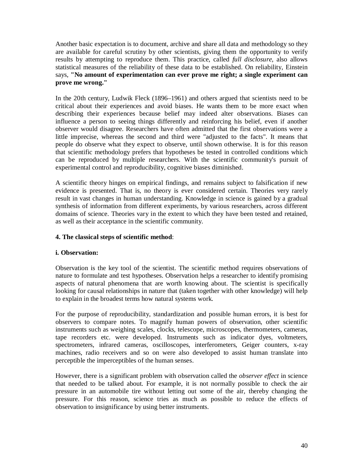Another basic expectation is to document, archive and share all data and methodology so they are available for careful scrutiny by other scientists, giving them the opportunity to verify results by attempting to reproduce them. This practice, called *full disclosure*, also allows statistical measures of the reliability of these data to be established. On reliability, Einstein says, **"No amount of experimentation can ever prove me right; a single experiment can prove me wrong."**

In the 20th century, Ludwik Fleck (1896–1961) and others argued that scientists need to be critical about their experiences and avoid biases. He wants them to be more exact when describing their experiences because belief may indeed alter observations. Biases can influence a person to seeing things differently and reinforcing his belief, even if another observer would disagree. Researchers have often admitted that the first observations were a little imprecise, whereas the second and third were "adjusted to the facts". It means that people do observe what they expect to observe, until shown otherwise. It is for this reason that scientific methodology prefers that hypotheses be tested in controlled conditions which can be reproduced by multiple researchers. With the scientific community's pursuit of experimental control and reproducibility, cognitive biases diminished.

A scientific theory hinges on empirical findings, and remains subject to falsification if new evidence is presented. That is, no theory is ever considered certain. Theories very rarely result in vast changes in human understanding. Knowledge in science is gained by a gradual synthesis of information from different experiments, by various researchers, across different domains of science. Theories vary in the extent to which they have been tested and retained, as well as their acceptance in the scientific community.

## **4. The classical steps of scientific method**:

## **i. Observation:**

Observation is the key tool of the scientist. The scientific method requires observations of nature to formulate and test hypotheses. Observation helps a researcher to identify promising aspects of natural phenomena that are worth knowing about. The scientist is specifically looking for causal relationships in nature that (taken together with other knowledge) will help to explain in the broadest terms how natural systems work.

For the purpose of reproducibility, standardization and possible human errors, it is best for observers to compare notes. To magnify human powers of observation, other scientific instruments such as weighing scales, clocks, telescope, microscopes, thermometers, cameras, tape recorders etc. were developed. Instruments such as indicator dyes, voltmeters, spectrometers, infrared cameras, oscilloscopes, interferometers, Geiger counters, x-ray machines, radio receivers and so on were also developed to assist human translate into perceptible the imperceptibles of the human senses.

However, there is a significant problem with observation called the *observer effect* in science that needed to be talked about. For example, it is not normally possible to check the air pressure in an automobile tire without letting out some of the air, thereby changing the pressure. For this reason, science tries as much as possible to reduce the effects of observation to insignificance by using better instruments.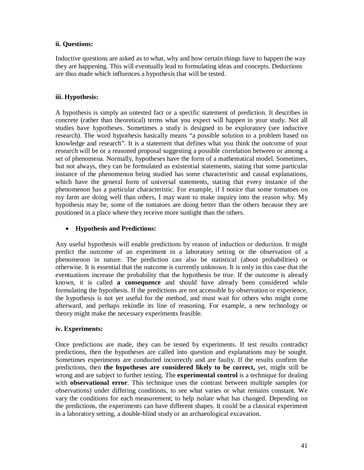## **ii. Questions:**

Inductive questions are asked as to what, why and how certain things have to happen the way they are happening. This will eventually lead to formulating ideas and concepts. Deductions are thus made which influences a hypothesis that will be tested.

## **iii. Hypothesis:**

A hypothesis is simply an untested fact or a specific statement of prediction. It describes in concrete (rather than theoretical) terms what you expect will happen in your study. Not all studies have hypotheses. Sometimes a study is designed to be exploratory (see inductive research). The word hypothesis basically means "a possible solution to a problem based on knowledge and research". It is a statement that defines what you think the outcome of your research will be or a reasoned proposal suggesting a possible correlation between or among a set of phenomena. Normally, hypotheses have the form of a mathematical model. Sometimes, but not always, they can be formulated as existential statements, stating that some particular instance of the phenomenon being studied has some characteristic and causal explanations, which have the general form of universal statements, stating that every instance of the phenomenon has a particular characteristic. For example, if I notice that some tomatoes on my farm are doing well than others, I may want to make inquiry into the reason why. My hypothesis may be, some of the tomatoes are doing better than the others because they are positioned in a place where they receive more sunlight than the others.

## **Hypothesis and Predictions:**

Any useful hypothesis will enable predictions by reason of induction or deduction. It might predict the outcome of an experiment in a laboratory setting or the observation of a phenomenon in nature. The prediction can also be statistical (about probabilities) or otherwise. It is essential that the outcome is currently unknown. It is only in this case that the eventuations increase the probability that the hypothesis be true. If the outcome is already known, it is called **a consequence** and should have already been considered while formulating the hypothesis. If the predictions are not accessible by observation or experience, the hypothesis is not yet useful for the method, and must wait for others who might come afterward, and perhaps rekindle its line of reasoning. For example, a new technology or theory might make the necessary experiments feasible.

## **iv. Experiments:**

Once predictions are made, they can be tested by experiments. If test results contradict predictions, then the hypotheses are called into question and explanations may be sought. Sometimes experiments are conducted incorrectly and are faulty. If the results confirm the predictions, then **the hypotheses are considered likely to be correct,** yet, might still be wrong and are subject to further testing. The **experimental control** is a technique for dealing with **observational error**. This technique uses the contrast between multiple samples (or observations) under differing conditions, to see what varies or what remains constant. We vary the conditions for each measurement; to help isolate what has changed. Depending on the predictions, the experiments can have different shapes. It could be a classical experiment in a laboratory setting, a double-blind study or an archaeological excavation.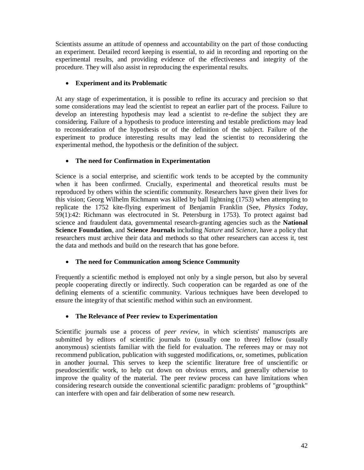Scientists assume an attitude of openness and accountability on the part of those conducting an experiment. Detailed record keeping is essential, to aid in recording and reporting on the experimental results, and providing evidence of the effectiveness and integrity of the procedure. They will also assist in reproducing the experimental results.

# **Experiment and its Problematic**

At any stage of experimentation, it is possible to refine its accuracy and precision so that some considerations may lead the scientist to repeat an earlier part of the process. Failure to develop an interesting hypothesis may lead a scientist to re-define the subject they are considering. Failure of a hypothesis to produce interesting and testable predictions may lead to reconsideration of the hypothesis or of the definition of the subject. Failure of the experiment to produce interesting results may lead the scientist to reconsidering the experimental method, the hypothesis or the definition of the subject.

# **The need for Confirmation in Experimentation**

Science is a social enterprise, and scientific work tends to be accepted by the community when it has been confirmed. Crucially, experimental and theoretical results must be reproduced by others within the scientific community. Researchers have given their lives for this vision; Georg Wilhelm Richmann was killed by ball lightning (1753) when attempting to replicate the 1752 kite-flying experiment of Benjamin Franklin (See, *Physics Today*, 59(1):42: Richmann was electrocuted in St. Petersburg in 1753). To protect against bad science and fraudulent data, governmental research-granting agencies such as the **National Science Foundation**, and **Science Journals** including *Nature* and *Science*, have a policy that researchers must archive their data and methods so that other researchers can access it, test the data and methods and build on the research that has gone before.

## **The need for Communication among Science Community**

Frequently a scientific method is employed not only by a single person, but also by several people cooperating directly or indirectly. Such cooperation can be regarded as one of the defining elements of a scientific community. Various techniques have been developed to ensure the integrity of that scientific method within such an environment.

## **The Relevance of Peer review to Experimentation**

Scientific journals use a process of *peer review*, in which scientists' manuscripts are submitted by editors of scientific journals to (usually one to three) fellow (usually anonymous) scientists familiar with the field for evaluation. The referees may or may not recommend publication, publication with suggested modifications, or, sometimes, publication in another journal. This serves to keep the scientific literature free of unscientific or pseudoscientific work, to help cut down on obvious errors, and generally otherwise to improve the quality of the material. The peer review process can have limitations when considering research outside the conventional scientific paradigm: problems of "groupthink" can interfere with open and fair deliberation of some new research.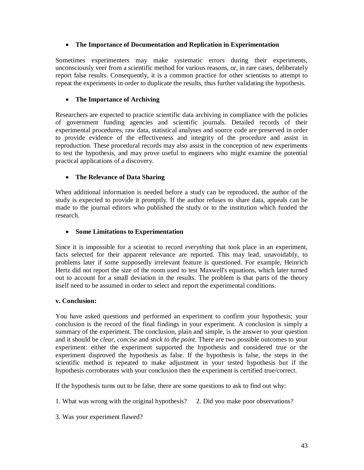## **The Importance of Documentation and Replication in Experimentation**

Sometimes experimenters may make systematic errors during their experiments, unconsciously veer from a scientific method for various reasons, or, in rare cases, deliberately report false results. Consequently, it is a common practice for other scientists to attempt to repeat the experiments in order to duplicate the results, thus further validating the hypothesis.

## **The Importance of Archiving**

Researchers are expected to practice scientific data archiving in compliance with the policies of government funding agencies and scientific journals. Detailed records of their experimental procedures, raw data, statistical analyses and source code are preserved in order to provide evidence of the effectiveness and integrity of the procedure and assist in reproduction. These procedural records may also assist in the conception of new experiments to test the hypothesis, and may prove useful to engineers who might examine the potential practical applications of a discovery.

## **The Relevance of Data Sharing**

When additional information is needed before a study can be reproduced, the author of the study is expected to provide it promptly. If the author refuses to share data, appeals can be made to the journal editors who published the study or to the institution which funded the research.

## **Some Limitations to Experimentation**

Since it is impossible for a scientist to record *everything* that took place in an experiment, facts selected for their apparent relevance are reported. This may lead, unavoidably, to problems later if some supposedly irrelevant feature is questioned. For example, Heinrich Hertz did not report the size of the room used to test Maxwell's equations, which later turned out to account for a small deviation in the results. The problem is that parts of the theory itself need to be assumed in order to select and report the experimental conditions.

## **v. Conclusion:**

You have asked questions and performed an experiment to confirm your hypothesis; your conclusion is the record of the final findings in your experiment. A conclusion is simply a summary of the experiment. The conclusion, plain and simple, is the answer to your question and it should be *clear, concise* and *stick to the point*. There are two possible outcomes to your experiment: either the experiment supported the hypothesis and considered true or the experiment disproved the hypothesis as false. If the hypothesis is false, the steps in the scientific method is repeated to make adjustment in your tested hypothesis but if the hypothesis corroborates with your conclusion then the experiment is certified true/correct.

If the hypothesis turns out to be false, there are some questions to ask to find out why:

1. What was wrong with the original hypothesis? 2. Did you make poor observations?

3. Was your experiment flawed?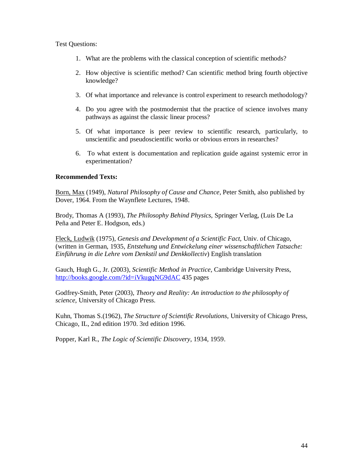Test Questions:

- 1. What are the problems with the classical conception of scientific methods?
- 2. How objective is scientific method? Can scientific method bring fourth objective knowledge?
- 3. Of what importance and relevance is control experiment to research methodology?
- 4. Do you agree with the postmodernist that the practice of science involves many pathways as against the classic linear process?
- 5. Of what importance is peer review to scientific research, particularly, to unscientific and pseudoscientific works or obvious errors in researches?
- 6. To what extent is documentation and replication guide against systemic error in experimentation?

## **Recommended Texts:**

Born, Max (1949), *Natural Philosophy of Cause and Chance*, Peter Smith, also published by Dover, 1964. From the Waynflete Lectures, 1948.

Brody, Thomas A (1993), *The Philosophy Behind Physics*, Springer Verlag, (Luis De La Peña and Peter E. Hodgson, eds.)

Fleck, Ludwik (1975), *Genesis and Development of a Scientific Fact*, Univ. of Chicago, (written in German, 1935, *Entstehung und Entwickelung einer wissenschaftlichen Tatsache: Einführung in die Lehre vom Denkstil und Denkkollectiv*) English translation

Gauch, Hugh G., Jr. (2003), *Scientific Method in Practice*, Cambridge University Press, http://books.google.com/?id=iVkugqNG9dAC 435 pages

Godfrey-Smith, Peter (2003), *Theory and Reality: An introduction to the philosophy of science*, University of Chicago Press.

Kuhn, Thomas S.(1962), *The Structure of Scientific Revolutions*, University of Chicago Press, Chicago, IL, 2nd edition 1970. 3rd edition 1996.

Popper, Karl R., *The Logic of Scientific Discovery*, 1934, 1959.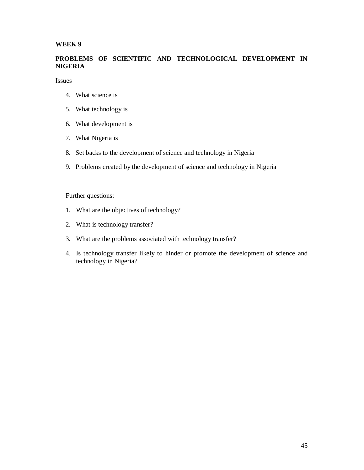## **WEEK 9**

# **PROBLEMS OF SCIENTIFIC AND TECHNOLOGICAL DEVELOPMENT IN NIGERIA**

Issues

- 4. What science is
- 5. What technology is
- 6. What development is
- 7. What Nigeria is
- 8. Set backs to the development of science and technology in Nigeria
- 9. Problems created by the development of science and technology in Nigeria

Further questions:

- 1. What are the objectives of technology?
- 2. What is technology transfer?
- 3. What are the problems associated with technology transfer?
- 4. Is technology transfer likely to hinder or promote the development of science and technology in Nigeria?